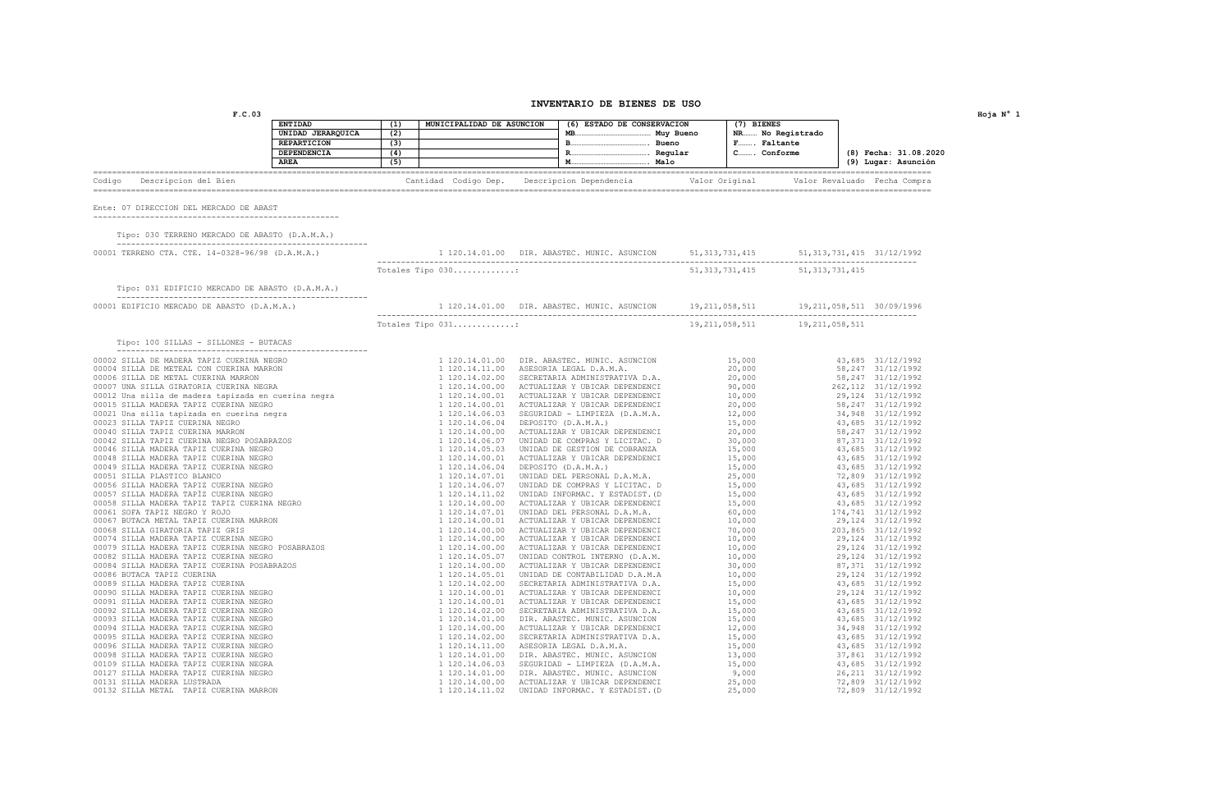## **INVENTARIO DE BIENES DE USO**

| F.C.03                                                                                                                               |                    |     |                           |                                                                                             |              |                                     |                       |
|--------------------------------------------------------------------------------------------------------------------------------------|--------------------|-----|---------------------------|---------------------------------------------------------------------------------------------|--------------|-------------------------------------|-----------------------|
|                                                                                                                                      | <b>ENTIDAD</b>     | (1) | MUNICIPALIDAD DE ASUNCION | (6) ESTADO DE CONSERVACION                                                                  | $(7)$ BIENES |                                     |                       |
|                                                                                                                                      | UNIDAD JERARQUICA  | (2) |                           |                                                                                             |              | NR No Registrado                    |                       |
|                                                                                                                                      | <b>REPARTICION</b> | (3) |                           |                                                                                             | F Faltante   |                                     |                       |
|                                                                                                                                      | DEPENDENCIA        | (4) |                           | <b>R</b>                                                                                    | C Conforme   |                                     | (8) Fecha: 31.08.2020 |
|                                                                                                                                      | AREA               | (5) |                           | $M$                                                                                         |              |                                     | (9) Lugar: Asunción   |
|                                                                                                                                      |                    |     |                           |                                                                                             |              |                                     |                       |
| Codigo Descripcion del Bien de Compra de Cantidad Codigo Dep. Descripcion Dependencia de Valor Original Valor Revaluado Fecha Compra |                    |     |                           |                                                                                             |              |                                     |                       |
| Ente: 07 DIRECCION DEL MERCADO DE ABAST                                                                                              |                    |     |                           |                                                                                             |              |                                     |                       |
| Tipo: 030 TERRENO MERCADO DE ABASTO (D.A.M.A.)                                                                                       |                    |     |                           |                                                                                             |              |                                     |                       |
| 00001 TERRENO CTA. CTE. 14-0328-96/98 (D.A.M.A.)                                                                                     |                    |     |                           | 1 120.14.01.00 DIR. ABASTEC. MUNIC. ASUNCION 51, 313, 731, 415 51, 313, 731, 415 31/12/1992 |              |                                     |                       |
|                                                                                                                                      |                    |     | Totales Tipo 030:         |                                                                                             |              | 51, 313, 731, 415 51, 313, 731, 415 |                       |
| Tipo: 031 EDIFICIO MERCADO DE ABASTO (D.A.M.A.)                                                                                      |                    |     |                           |                                                                                             |              |                                     |                       |
| 00001 EDIFICIO MERCADO DE ABASTO (D.A.M.A.) 100 1120.14.01.00 DIR. ABASTEC. MUNIC. ASUNCION 19,211,058,511 19,211,058,511 30/09/1996 |                    |     |                           |                                                                                             |              |                                     |                       |
|                                                                                                                                      |                    |     |                           |                                                                                             |              | 19, 211, 058, 511 19, 211, 058, 511 |                       |
| Tipo: 100 SILLAS - SILLONES - BUTACAS                                                                                                |                    |     |                           |                                                                                             |              |                                     |                       |
|                                                                                                                                      |                    |     |                           |                                                                                             |              |                                     |                       |
|                                                                                                                                      |                    |     |                           |                                                                                             |              |                                     |                       |
|                                                                                                                                      |                    |     |                           |                                                                                             |              |                                     |                       |
|                                                                                                                                      |                    |     |                           |                                                                                             |              |                                     |                       |
|                                                                                                                                      |                    |     |                           |                                                                                             |              |                                     |                       |
|                                                                                                                                      |                    |     |                           |                                                                                             |              |                                     |                       |
|                                                                                                                                      |                    |     |                           |                                                                                             |              |                                     |                       |
|                                                                                                                                      |                    |     |                           |                                                                                             |              |                                     |                       |
|                                                                                                                                      |                    |     |                           |                                                                                             |              |                                     |                       |
|                                                                                                                                      |                    |     |                           |                                                                                             |              |                                     |                       |
|                                                                                                                                      |                    |     |                           |                                                                                             |              |                                     |                       |
|                                                                                                                                      |                    |     |                           |                                                                                             |              |                                     |                       |
|                                                                                                                                      |                    |     |                           |                                                                                             |              |                                     |                       |
|                                                                                                                                      |                    |     |                           |                                                                                             |              |                                     |                       |
|                                                                                                                                      |                    |     |                           |                                                                                             |              |                                     |                       |
|                                                                                                                                      |                    |     |                           |                                                                                             |              |                                     |                       |
|                                                                                                                                      |                    |     |                           |                                                                                             |              |                                     |                       |
|                                                                                                                                      |                    |     |                           |                                                                                             |              |                                     |                       |
|                                                                                                                                      |                    |     |                           |                                                                                             |              |                                     |                       |
|                                                                                                                                      |                    |     |                           |                                                                                             |              |                                     |                       |
|                                                                                                                                      |                    |     |                           |                                                                                             |              |                                     |                       |
|                                                                                                                                      |                    |     |                           |                                                                                             |              |                                     |                       |
|                                                                                                                                      |                    |     |                           |                                                                                             |              |                                     |                       |
|                                                                                                                                      |                    |     |                           |                                                                                             |              |                                     |                       |
|                                                                                                                                      |                    |     |                           |                                                                                             |              |                                     |                       |
|                                                                                                                                      |                    |     |                           |                                                                                             |              |                                     |                       |
|                                                                                                                                      |                    |     |                           |                                                                                             |              |                                     |                       |
|                                                                                                                                      |                    |     |                           |                                                                                             |              |                                     |                       |
|                                                                                                                                      |                    |     |                           |                                                                                             |              |                                     |                       |
|                                                                                                                                      |                    |     |                           |                                                                                             |              |                                     |                       |
|                                                                                                                                      |                    |     |                           |                                                                                             |              |                                     |                       |
|                                                                                                                                      |                    |     |                           |                                                                                             |              |                                     |                       |
|                                                                                                                                      |                    |     |                           |                                                                                             |              |                                     |                       |
|                                                                                                                                      |                    |     |                           |                                                                                             |              |                                     |                       |
|                                                                                                                                      |                    |     |                           |                                                                                             |              |                                     |                       |
|                                                                                                                                      |                    |     |                           |                                                                                             |              |                                     |                       |
|                                                                                                                                      |                    |     |                           |                                                                                             |              |                                     |                       |
|                                                                                                                                      |                    |     |                           |                                                                                             |              |                                     |                       |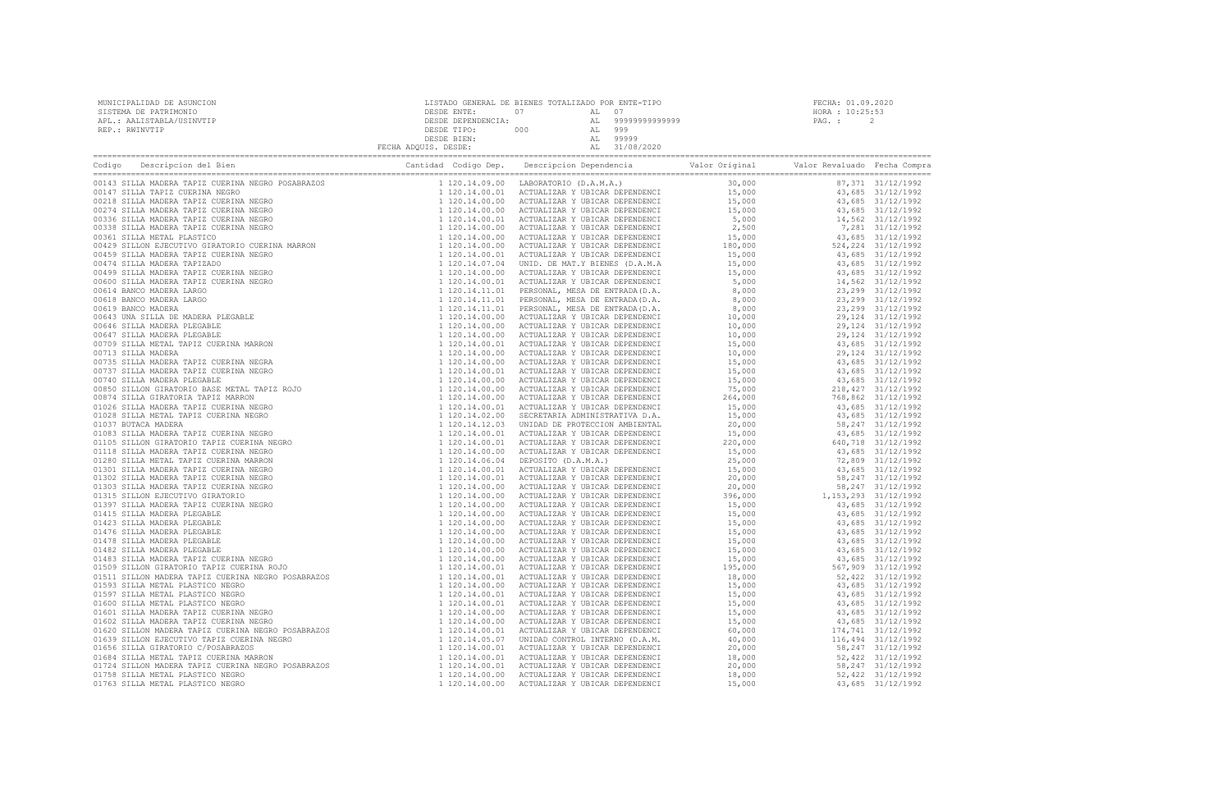| MUNICIPALIDAD DE ASUNCION DE CHA (01.09.2020)<br>SISTEMA DE PRINCIPALIDAD EN ENERE DE BIENES TOTALIZADO POR ENTE-TIPO (FECHA: 01.09.2020)<br>APL.: AALISTABLA/USINVTIP (DESDE ENERE DESDE ENERE DE PRINCIPALIDAD (DESDE TIPO: AL 9 |  |  |
|------------------------------------------------------------------------------------------------------------------------------------------------------------------------------------------------------------------------------------|--|--|
| Codigo Descripcion del Bien (Compra Cantidad Codigo Dep. Descripcion Dependencia Valor Original Valor Revaluado Fecha Compra Cantidad Codigo Dep. Descripcion Dependencia Valor Original Valor Revaluado Fecha Compra Cantidad     |  |  |
|                                                                                                                                                                                                                                    |  |  |
|                                                                                                                                                                                                                                    |  |  |
|                                                                                                                                                                                                                                    |  |  |
|                                                                                                                                                                                                                                    |  |  |
|                                                                                                                                                                                                                                    |  |  |
|                                                                                                                                                                                                                                    |  |  |
|                                                                                                                                                                                                                                    |  |  |
|                                                                                                                                                                                                                                    |  |  |
|                                                                                                                                                                                                                                    |  |  |
|                                                                                                                                                                                                                                    |  |  |
|                                                                                                                                                                                                                                    |  |  |
|                                                                                                                                                                                                                                    |  |  |
|                                                                                                                                                                                                                                    |  |  |
|                                                                                                                                                                                                                                    |  |  |
|                                                                                                                                                                                                                                    |  |  |
|                                                                                                                                                                                                                                    |  |  |
|                                                                                                                                                                                                                                    |  |  |
|                                                                                                                                                                                                                                    |  |  |
|                                                                                                                                                                                                                                    |  |  |
|                                                                                                                                                                                                                                    |  |  |
|                                                                                                                                                                                                                                    |  |  |
|                                                                                                                                                                                                                                    |  |  |
|                                                                                                                                                                                                                                    |  |  |
|                                                                                                                                                                                                                                    |  |  |
|                                                                                                                                                                                                                                    |  |  |
|                                                                                                                                                                                                                                    |  |  |
|                                                                                                                                                                                                                                    |  |  |
|                                                                                                                                                                                                                                    |  |  |
|                                                                                                                                                                                                                                    |  |  |
|                                                                                                                                                                                                                                    |  |  |
|                                                                                                                                                                                                                                    |  |  |
|                                                                                                                                                                                                                                    |  |  |
|                                                                                                                                                                                                                                    |  |  |
|                                                                                                                                                                                                                                    |  |  |
|                                                                                                                                                                                                                                    |  |  |
|                                                                                                                                                                                                                                    |  |  |
|                                                                                                                                                                                                                                    |  |  |
|                                                                                                                                                                                                                                    |  |  |
|                                                                                                                                                                                                                                    |  |  |
|                                                                                                                                                                                                                                    |  |  |
|                                                                                                                                                                                                                                    |  |  |
|                                                                                                                                                                                                                                    |  |  |
|                                                                                                                                                                                                                                    |  |  |
|                                                                                                                                                                                                                                    |  |  |
|                                                                                                                                                                                                                                    |  |  |
|                                                                                                                                                                                                                                    |  |  |
|                                                                                                                                                                                                                                    |  |  |
|                                                                                                                                                                                                                                    |  |  |
|                                                                                                                                                                                                                                    |  |  |
|                                                                                                                                                                                                                                    |  |  |
|                                                                                                                                                                                                                                    |  |  |
|                                                                                                                                                                                                                                    |  |  |
|                                                                                                                                                                                                                                    |  |  |
|                                                                                                                                                                                                                                    |  |  |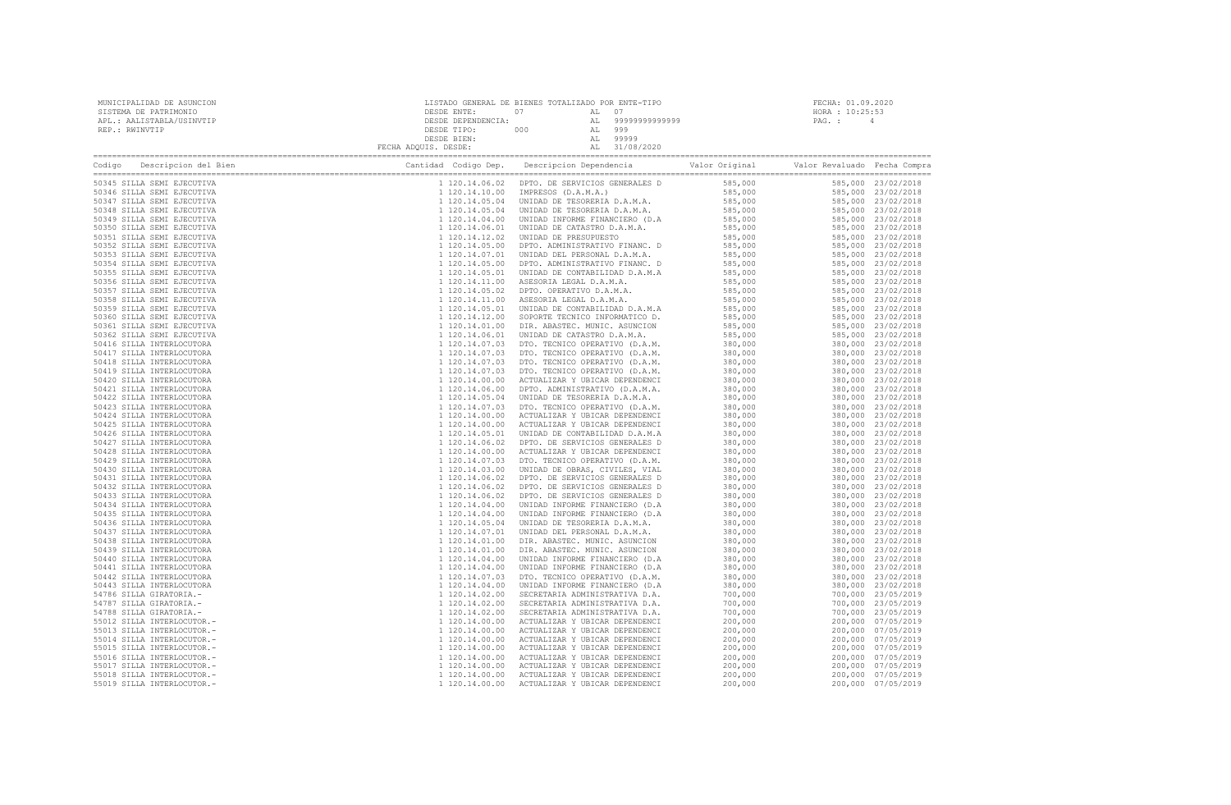| MUNICIPALIDAD DE ASUNCION<br>SISTEMA DE PATRIMONIO<br>APL.: AALISTABLA/USINVTIP<br>REP.: RWINVTIP                                    |  |  |  |  |
|--------------------------------------------------------------------------------------------------------------------------------------|--|--|--|--|
| Codigo Descripcion del Bien de Compra de Cantidad Codigo Dep. Descripcion Dependencia de Valor Original Valor Revaluado Fecha Compra |  |  |  |  |
| 50345 SILLA SEMI EJECUTIVA                                                                                                           |  |  |  |  |
| 50346 SILLA SEMI EJECUTIVA                                                                                                           |  |  |  |  |
| 50347 SILLA SEMI EJECUTIVA                                                                                                           |  |  |  |  |
| 50348 SILLA SEMI EJECUTIVA                                                                                                           |  |  |  |  |
| 50349 SILLA SEMI EJECUTIVA<br>50350 SILLA SEMI EJECUTIVA                                                                             |  |  |  |  |
| 50351 SILLA SEMI EJECUTIVA                                                                                                           |  |  |  |  |
| 50352 SILLA SEMI EJECUTIVA                                                                                                           |  |  |  |  |
| 50353 SILLA SEMI EJECUTIVA                                                                                                           |  |  |  |  |
| 50354 SILLA SEMI EJECUTIVA                                                                                                           |  |  |  |  |
| 50355 SILLA SEMI EJECUTIVA                                                                                                           |  |  |  |  |
| 50356 SILLA SEMI EJECUTIVA                                                                                                           |  |  |  |  |
| 50357 SILLA SEMI EJECUTIVA                                                                                                           |  |  |  |  |
| 50358 SILLA SEMI EJECUTIVA                                                                                                           |  |  |  |  |
| 50359 SILLA SEMI EJECUTIVA                                                                                                           |  |  |  |  |
| 50360 SILLA SEMI EJECUTIVA<br>50361 SILLA SEMI EJECUTIVA                                                                             |  |  |  |  |
| 50362 SILLA SEMI EJECUTIVA                                                                                                           |  |  |  |  |
| 50416 SILLA INTERLOCUTORA                                                                                                            |  |  |  |  |
| 50417 SILLA INTERLOCUTORA                                                                                                            |  |  |  |  |
| 50418 SILLA INTERLOCUTORA                                                                                                            |  |  |  |  |
| 50419 SILLA INTERLOCUTORA                                                                                                            |  |  |  |  |
| 50420 SILLA INTERLOCUTORA                                                                                                            |  |  |  |  |
| 50421 SILLA INTERLOCUTORA                                                                                                            |  |  |  |  |
| 50422 SILLA INTERLOCUTORA                                                                                                            |  |  |  |  |
| 50423 SILLA INTERLOCUTORA<br>50424 SILLA INTERLOCUTORA                                                                               |  |  |  |  |
| 50425 SILLA INTERLOCUTORA                                                                                                            |  |  |  |  |
| 50426 SILLA INTERLOCUTORA                                                                                                            |  |  |  |  |
| 50427 SILLA INTERLOCUTORA                                                                                                            |  |  |  |  |
| 50428 SILLA INTERLOCUTORA                                                                                                            |  |  |  |  |
| 50429 SILLA INTERLOCUTORA                                                                                                            |  |  |  |  |
| 50430 SILLA INTERLOCUTORA                                                                                                            |  |  |  |  |
| 50431 SILLA INTERLOCUTORA                                                                                                            |  |  |  |  |
| 50432 SILLA INTERLOCUTORA                                                                                                            |  |  |  |  |
| 50433 SILLA INTERLOCUTORA<br>50434 SILLA INTERLOCUTORA                                                                               |  |  |  |  |
| 50435 SILLA INTERLOCUTORA                                                                                                            |  |  |  |  |
| 50436 SILLA INTERLOCUTORA                                                                                                            |  |  |  |  |
| 50437 SILLA INTERLOCUTORA                                                                                                            |  |  |  |  |
| 50438 SILLA INTERLOCUTORA                                                                                                            |  |  |  |  |
| 50439 SILLA INTERLOCUTORA                                                                                                            |  |  |  |  |
| 50440 SILLA INTERLOCUTORA                                                                                                            |  |  |  |  |
| 50441 SILLA INTERLOCUTORA                                                                                                            |  |  |  |  |
| 50442 SILLA INTERLOCUTORA<br>50443 SILLA INTERLOCUTORA                                                                               |  |  |  |  |
| 54786 SILLA GIRATORIA.-                                                                                                              |  |  |  |  |
| 54787 SILLA GIRATORIA.-                                                                                                              |  |  |  |  |
| 54788 SILLA GIRATORIA.-                                                                                                              |  |  |  |  |
| 55012 SILLA INTERLOCUTOR.-                                                                                                           |  |  |  |  |
| 55013 SILLA INTERLOCUTOR.-                                                                                                           |  |  |  |  |
| 55014 SILLA INTERLOCUTOR.-                                                                                                           |  |  |  |  |
| 55015 SILLA INTERLOCUTOR.-                                                                                                           |  |  |  |  |
| 55016 SILLA INTERLOCUTOR.-                                                                                                           |  |  |  |  |
| 55017 SILLA INTERLOCUTOR.-                                                                                                           |  |  |  |  |
| 55018 SILLA INTERLOCUTOR.-<br>55019 SILLA INTERLOCUTOR.-                                                                             |  |  |  |  |
|                                                                                                                                      |  |  |  |  |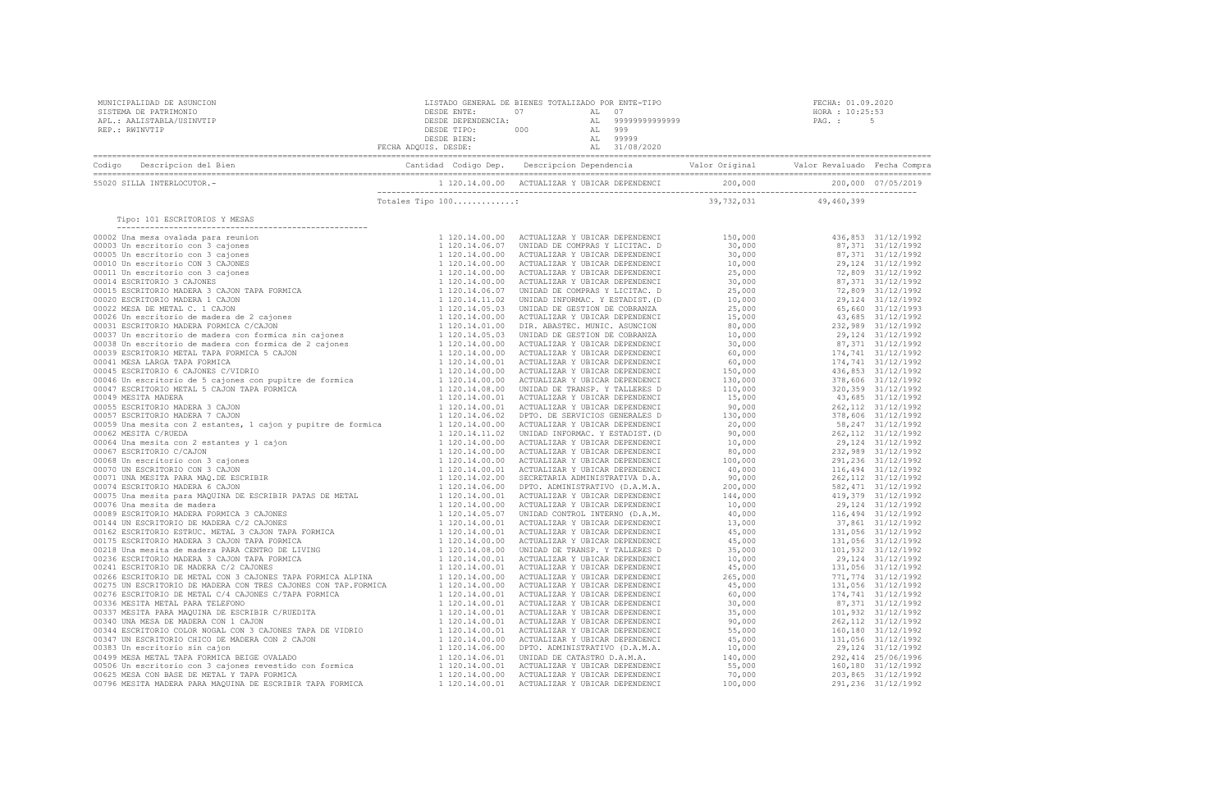| Company Cantida Codigo Dep. Descripcion Dependencia Valor Original Valor Revaluado Fecha Compra Cantidad Codigo Dep. Descripcion Dependencia Valor Original Valor Revaluado Fecha Compra Cantidad Codigo Dep. Descripcion Depe |  |  |  |
|--------------------------------------------------------------------------------------------------------------------------------------------------------------------------------------------------------------------------------|--|--|--|
| 55020 SILLA INTERLOCUTOR.-                                                                                                                                                                                                     |  |  |  |
|                                                                                                                                                                                                                                |  |  |  |
| Tipo: 101 ESCRITORIOS Y MESAS                                                                                                                                                                                                  |  |  |  |
|                                                                                                                                                                                                                                |  |  |  |
|                                                                                                                                                                                                                                |  |  |  |
|                                                                                                                                                                                                                                |  |  |  |
|                                                                                                                                                                                                                                |  |  |  |
|                                                                                                                                                                                                                                |  |  |  |
|                                                                                                                                                                                                                                |  |  |  |
|                                                                                                                                                                                                                                |  |  |  |
|                                                                                                                                                                                                                                |  |  |  |
|                                                                                                                                                                                                                                |  |  |  |
|                                                                                                                                                                                                                                |  |  |  |
|                                                                                                                                                                                                                                |  |  |  |
|                                                                                                                                                                                                                                |  |  |  |
|                                                                                                                                                                                                                                |  |  |  |
|                                                                                                                                                                                                                                |  |  |  |
|                                                                                                                                                                                                                                |  |  |  |
|                                                                                                                                                                                                                                |  |  |  |
|                                                                                                                                                                                                                                |  |  |  |
|                                                                                                                                                                                                                                |  |  |  |
|                                                                                                                                                                                                                                |  |  |  |
|                                                                                                                                                                                                                                |  |  |  |
|                                                                                                                                                                                                                                |  |  |  |
|                                                                                                                                                                                                                                |  |  |  |
|                                                                                                                                                                                                                                |  |  |  |
|                                                                                                                                                                                                                                |  |  |  |
|                                                                                                                                                                                                                                |  |  |  |
|                                                                                                                                                                                                                                |  |  |  |
|                                                                                                                                                                                                                                |  |  |  |
|                                                                                                                                                                                                                                |  |  |  |
|                                                                                                                                                                                                                                |  |  |  |
|                                                                                                                                                                                                                                |  |  |  |
|                                                                                                                                                                                                                                |  |  |  |
|                                                                                                                                                                                                                                |  |  |  |
|                                                                                                                                                                                                                                |  |  |  |
|                                                                                                                                                                                                                                |  |  |  |
|                                                                                                                                                                                                                                |  |  |  |
|                                                                                                                                                                                                                                |  |  |  |
|                                                                                                                                                                                                                                |  |  |  |
|                                                                                                                                                                                                                                |  |  |  |
|                                                                                                                                                                                                                                |  |  |  |
|                                                                                                                                                                                                                                |  |  |  |
|                                                                                                                                                                                                                                |  |  |  |
|                                                                                                                                                                                                                                |  |  |  |
|                                                                                                                                                                                                                                |  |  |  |
|                                                                                                                                                                                                                                |  |  |  |
|                                                                                                                                                                                                                                |  |  |  |
|                                                                                                                                                                                                                                |  |  |  |
|                                                                                                                                                                                                                                |  |  |  |
|                                                                                                                                                                                                                                |  |  |  |
|                                                                                                                                                                                                                                |  |  |  |
|                                                                                                                                                                                                                                |  |  |  |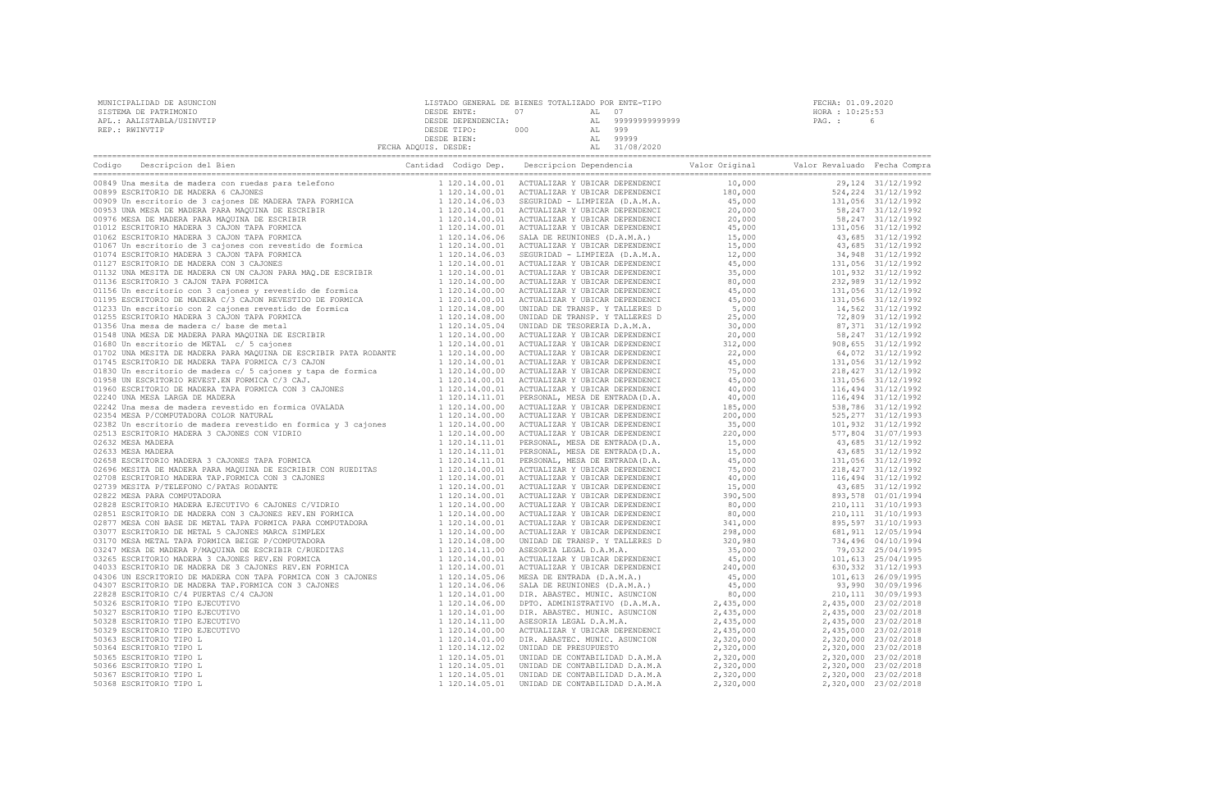| SISTEMA DE PATRIMONIO                                                                                                                                                                                                          |  |                                                                                                                                                                              | HORA : 10:25:53 |  |
|--------------------------------------------------------------------------------------------------------------------------------------------------------------------------------------------------------------------------------|--|------------------------------------------------------------------------------------------------------------------------------------------------------------------------------|-----------------|--|
| APL.: AALISTABLA/USINVTIP                                                                                                                                                                                                      |  |                                                                                                                                                                              | PAG.: 6         |  |
| REP.: RWINVTIP                                                                                                                                                                                                                 |  |                                                                                                                                                                              |                 |  |
|                                                                                                                                                                                                                                |  |                                                                                                                                                                              |                 |  |
|                                                                                                                                                                                                                                |  | DESDE ENTE: 07<br>DESDE DEPENDENCIA: AL 999<br>DESDE TIPO: 000 AL 99999999999999999<br>DESDE TIPO: 000 AL 9999<br>DESDE BIEN: AL 99999<br>FECHA ADQUIS. DESDE: AL 31/08/2020 |                 |  |
|                                                                                                                                                                                                                                |  |                                                                                                                                                                              |                 |  |
| Codigo Descripcion del Bien (Compra Cantidad Codigo Dep. Descripcion Dependencia Valor Original Valor Revaluado Fecha Compra المادي Valor Nescripcion del Bien (Compra Cantidad Codigo Dep. Descripcion Dependencia) Valor Ori |  |                                                                                                                                                                              |                 |  |
|                                                                                                                                                                                                                                |  |                                                                                                                                                                              |                 |  |
|                                                                                                                                                                                                                                |  |                                                                                                                                                                              |                 |  |
|                                                                                                                                                                                                                                |  |                                                                                                                                                                              |                 |  |
|                                                                                                                                                                                                                                |  |                                                                                                                                                                              |                 |  |
|                                                                                                                                                                                                                                |  |                                                                                                                                                                              |                 |  |
|                                                                                                                                                                                                                                |  |                                                                                                                                                                              |                 |  |
|                                                                                                                                                                                                                                |  |                                                                                                                                                                              |                 |  |
|                                                                                                                                                                                                                                |  |                                                                                                                                                                              |                 |  |
|                                                                                                                                                                                                                                |  |                                                                                                                                                                              |                 |  |
|                                                                                                                                                                                                                                |  |                                                                                                                                                                              |                 |  |
|                                                                                                                                                                                                                                |  |                                                                                                                                                                              |                 |  |
|                                                                                                                                                                                                                                |  |                                                                                                                                                                              |                 |  |
|                                                                                                                                                                                                                                |  |                                                                                                                                                                              |                 |  |
|                                                                                                                                                                                                                                |  |                                                                                                                                                                              |                 |  |
|                                                                                                                                                                                                                                |  |                                                                                                                                                                              |                 |  |
|                                                                                                                                                                                                                                |  |                                                                                                                                                                              |                 |  |
|                                                                                                                                                                                                                                |  |                                                                                                                                                                              |                 |  |
|                                                                                                                                                                                                                                |  |                                                                                                                                                                              |                 |  |
|                                                                                                                                                                                                                                |  |                                                                                                                                                                              |                 |  |
|                                                                                                                                                                                                                                |  |                                                                                                                                                                              |                 |  |
|                                                                                                                                                                                                                                |  |                                                                                                                                                                              |                 |  |
|                                                                                                                                                                                                                                |  |                                                                                                                                                                              |                 |  |
|                                                                                                                                                                                                                                |  |                                                                                                                                                                              |                 |  |
|                                                                                                                                                                                                                                |  |                                                                                                                                                                              |                 |  |
|                                                                                                                                                                                                                                |  |                                                                                                                                                                              |                 |  |
|                                                                                                                                                                                                                                |  |                                                                                                                                                                              |                 |  |
|                                                                                                                                                                                                                                |  |                                                                                                                                                                              |                 |  |
|                                                                                                                                                                                                                                |  |                                                                                                                                                                              |                 |  |
|                                                                                                                                                                                                                                |  |                                                                                                                                                                              |                 |  |
|                                                                                                                                                                                                                                |  |                                                                                                                                                                              |                 |  |
|                                                                                                                                                                                                                                |  |                                                                                                                                                                              |                 |  |
|                                                                                                                                                                                                                                |  |                                                                                                                                                                              |                 |  |
|                                                                                                                                                                                                                                |  |                                                                                                                                                                              |                 |  |
|                                                                                                                                                                                                                                |  |                                                                                                                                                                              |                 |  |
|                                                                                                                                                                                                                                |  |                                                                                                                                                                              |                 |  |
|                                                                                                                                                                                                                                |  |                                                                                                                                                                              |                 |  |
|                                                                                                                                                                                                                                |  |                                                                                                                                                                              |                 |  |
|                                                                                                                                                                                                                                |  |                                                                                                                                                                              |                 |  |
|                                                                                                                                                                                                                                |  |                                                                                                                                                                              |                 |  |
|                                                                                                                                                                                                                                |  |                                                                                                                                                                              |                 |  |
|                                                                                                                                                                                                                                |  |                                                                                                                                                                              |                 |  |
|                                                                                                                                                                                                                                |  |                                                                                                                                                                              |                 |  |
|                                                                                                                                                                                                                                |  |                                                                                                                                                                              |                 |  |
|                                                                                                                                                                                                                                |  |                                                                                                                                                                              |                 |  |
|                                                                                                                                                                                                                                |  |                                                                                                                                                                              |                 |  |
|                                                                                                                                                                                                                                |  |                                                                                                                                                                              |                 |  |
|                                                                                                                                                                                                                                |  |                                                                                                                                                                              |                 |  |
|                                                                                                                                                                                                                                |  |                                                                                                                                                                              |                 |  |
|                                                                                                                                                                                                                                |  |                                                                                                                                                                              |                 |  |
|                                                                                                                                                                                                                                |  |                                                                                                                                                                              |                 |  |
|                                                                                                                                                                                                                                |  |                                                                                                                                                                              |                 |  |
|                                                                                                                                                                                                                                |  |                                                                                                                                                                              |                 |  |
|                                                                                                                                                                                                                                |  |                                                                                                                                                                              |                 |  |
|                                                                                                                                                                                                                                |  |                                                                                                                                                                              |                 |  |
|                                                                                                                                                                                                                                |  |                                                                                                                                                                              |                 |  |
|                                                                                                                                                                                                                                |  |                                                                                                                                                                              |                 |  |
|                                                                                                                                                                                                                                |  |                                                                                                                                                                              |                 |  |

MUNICIPALIDAD DE ASUNCION LISTADO GENERAL DE BIENES TOTALIZADO POR ENTE-TIPO FECHA: 01.09.2020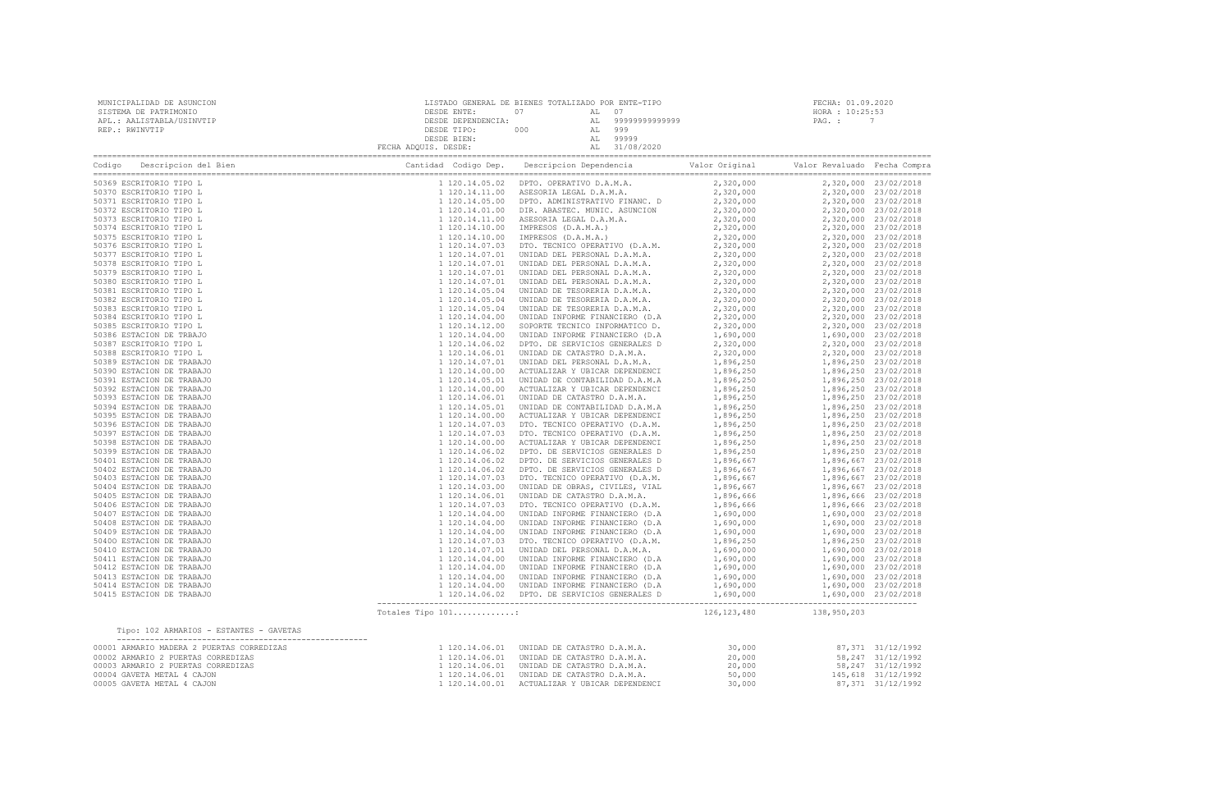| MUNICIPALIDAD DE ASUNCION<br>SISTEMA DE PATRIMONIO<br>APL.: AALISTABLA/USINVTIP<br>REP.: RWINVTIP                                                                                                                                                                                                                                                                                                                                     |  | FECHA: 01.09.2020 |
|---------------------------------------------------------------------------------------------------------------------------------------------------------------------------------------------------------------------------------------------------------------------------------------------------------------------------------------------------------------------------------------------------------------------------------------|--|-------------------|
| Codigo Descripcion del Bien de Marco de Marco Cantidad Codigo Dep. Descripcion Dependencia de Valor Original Valor Revaluado Fecha Compra                                                                                                                                                                                                                                                                                             |  |                   |
|                                                                                                                                                                                                                                                                                                                                                                                                                                       |  |                   |
|                                                                                                                                                                                                                                                                                                                                                                                                                                       |  |                   |
|                                                                                                                                                                                                                                                                                                                                                                                                                                       |  |                   |
|                                                                                                                                                                                                                                                                                                                                                                                                                                       |  |                   |
|                                                                                                                                                                                                                                                                                                                                                                                                                                       |  |                   |
|                                                                                                                                                                                                                                                                                                                                                                                                                                       |  |                   |
|                                                                                                                                                                                                                                                                                                                                                                                                                                       |  |                   |
|                                                                                                                                                                                                                                                                                                                                                                                                                                       |  |                   |
|                                                                                                                                                                                                                                                                                                                                                                                                                                       |  |                   |
|                                                                                                                                                                                                                                                                                                                                                                                                                                       |  |                   |
|                                                                                                                                                                                                                                                                                                                                                                                                                                       |  |                   |
|                                                                                                                                                                                                                                                                                                                                                                                                                                       |  |                   |
|                                                                                                                                                                                                                                                                                                                                                                                                                                       |  |                   |
|                                                                                                                                                                                                                                                                                                                                                                                                                                       |  |                   |
|                                                                                                                                                                                                                                                                                                                                                                                                                                       |  |                   |
|                                                                                                                                                                                                                                                                                                                                                                                                                                       |  |                   |
|                                                                                                                                                                                                                                                                                                                                                                                                                                       |  |                   |
|                                                                                                                                                                                                                                                                                                                                                                                                                                       |  |                   |
|                                                                                                                                                                                                                                                                                                                                                                                                                                       |  |                   |
|                                                                                                                                                                                                                                                                                                                                                                                                                                       |  |                   |
|                                                                                                                                                                                                                                                                                                                                                                                                                                       |  |                   |
|                                                                                                                                                                                                                                                                                                                                                                                                                                       |  |                   |
|                                                                                                                                                                                                                                                                                                                                                                                                                                       |  |                   |
|                                                                                                                                                                                                                                                                                                                                                                                                                                       |  |                   |
|                                                                                                                                                                                                                                                                                                                                                                                                                                       |  |                   |
|                                                                                                                                                                                                                                                                                                                                                                                                                                       |  |                   |
|                                                                                                                                                                                                                                                                                                                                                                                                                                       |  |                   |
|                                                                                                                                                                                                                                                                                                                                                                                                                                       |  |                   |
|                                                                                                                                                                                                                                                                                                                                                                                                                                       |  |                   |
|                                                                                                                                                                                                                                                                                                                                                                                                                                       |  |                   |
|                                                                                                                                                                                                                                                                                                                                                                                                                                       |  |                   |
|                                                                                                                                                                                                                                                                                                                                                                                                                                       |  |                   |
|                                                                                                                                                                                                                                                                                                                                                                                                                                       |  |                   |
|                                                                                                                                                                                                                                                                                                                                                                                                                                       |  |                   |
|                                                                                                                                                                                                                                                                                                                                                                                                                                       |  |                   |
|                                                                                                                                                                                                                                                                                                                                                                                                                                       |  |                   |
|                                                                                                                                                                                                                                                                                                                                                                                                                                       |  |                   |
|                                                                                                                                                                                                                                                                                                                                                                                                                                       |  |                   |
|                                                                                                                                                                                                                                                                                                                                                                                                                                       |  |                   |
|                                                                                                                                                                                                                                                                                                                                                                                                                                       |  |                   |
|                                                                                                                                                                                                                                                                                                                                                                                                                                       |  |                   |
|                                                                                                                                                                                                                                                                                                                                                                                                                                       |  |                   |
|                                                                                                                                                                                                                                                                                                                                                                                                                                       |  |                   |
| Tipo: 102 ARMARIOS - ESTANTES - GAVETAS                                                                                                                                                                                                                                                                                                                                                                                               |  |                   |
| $\begin{array}{cccccccc} \texttt{1} & \texttt{1} & \texttt{1} & \texttt{1} & \texttt{1} & \texttt{1} & \texttt{1} & \texttt{1} & \texttt{1} & \texttt{1} & \texttt{1} & \texttt{1} & \texttt{1} & \texttt{1} & \texttt{1} & \texttt{1} & \texttt{1} & \texttt{1} & \texttt{1} & \texttt{1} & \texttt{1} & \texttt{1} & \texttt{1} & \texttt{1} & \texttt{1} & \texttt{1} & \texttt{1} & \texttt{1} & \texttt{1} & \texttt{1} & \text$ |  |                   |
|                                                                                                                                                                                                                                                                                                                                                                                                                                       |  |                   |
|                                                                                                                                                                                                                                                                                                                                                                                                                                       |  |                   |
|                                                                                                                                                                                                                                                                                                                                                                                                                                       |  |                   |
|                                                                                                                                                                                                                                                                                                                                                                                                                                       |  |                   |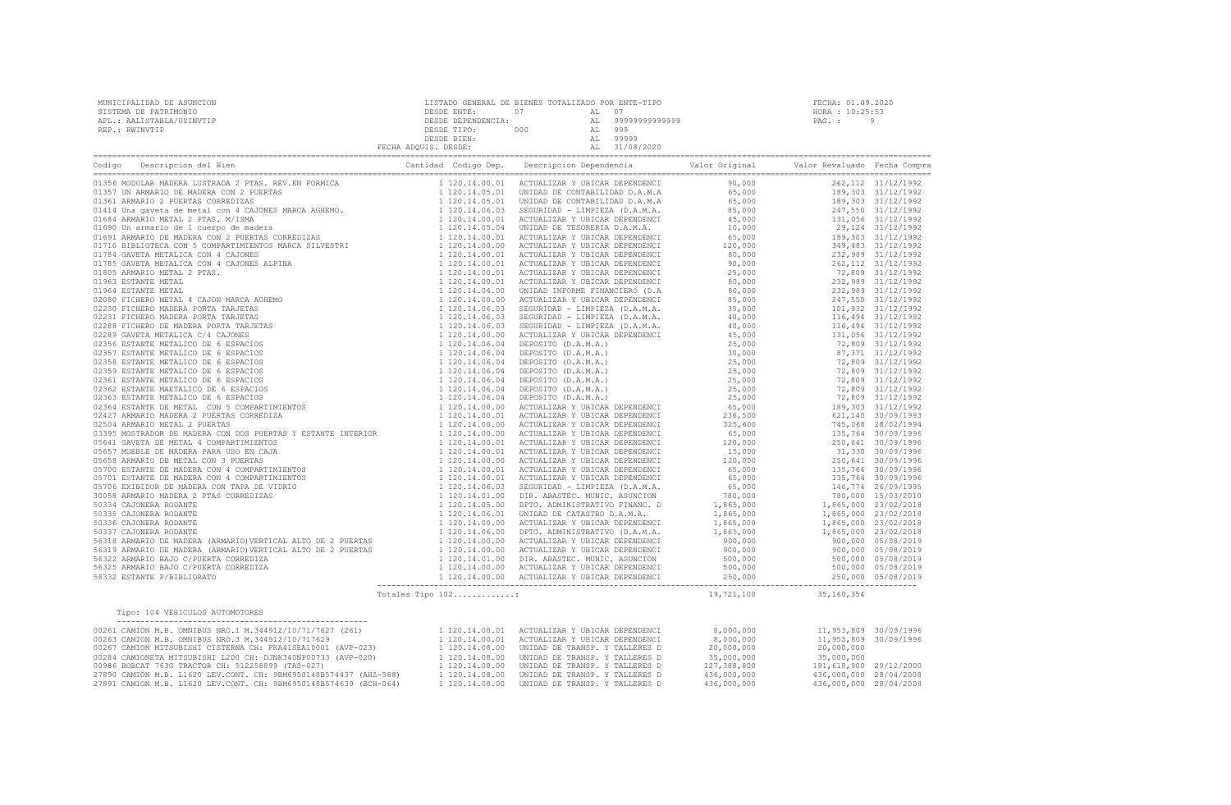| MUNICIPALIDAD DE ASUNCION<br>ATLES ANISTANDE PRINCIPALIDAD EN ENGLANDE DE ENES TOTALIZADO POR ENTE-TIPO<br>ATLES ANISTABLA/USINVTIP<br>ATLES ANISTABLA/USINVTIP<br>TECHN AND DESDE ENTE (1.09.2020<br>TECHN ADQUIS. DESDE TIPO, and 9999 |  |  |  |
|------------------------------------------------------------------------------------------------------------------------------------------------------------------------------------------------------------------------------------------|--|--|--|
|                                                                                                                                                                                                                                          |  |  |  |
|                                                                                                                                                                                                                                          |  |  |  |
|                                                                                                                                                                                                                                          |  |  |  |
|                                                                                                                                                                                                                                          |  |  |  |
|                                                                                                                                                                                                                                          |  |  |  |
|                                                                                                                                                                                                                                          |  |  |  |
|                                                                                                                                                                                                                                          |  |  |  |
|                                                                                                                                                                                                                                          |  |  |  |
|                                                                                                                                                                                                                                          |  |  |  |
|                                                                                                                                                                                                                                          |  |  |  |
|                                                                                                                                                                                                                                          |  |  |  |
|                                                                                                                                                                                                                                          |  |  |  |
|                                                                                                                                                                                                                                          |  |  |  |
|                                                                                                                                                                                                                                          |  |  |  |
|                                                                                                                                                                                                                                          |  |  |  |
|                                                                                                                                                                                                                                          |  |  |  |
|                                                                                                                                                                                                                                          |  |  |  |
|                                                                                                                                                                                                                                          |  |  |  |
|                                                                                                                                                                                                                                          |  |  |  |
|                                                                                                                                                                                                                                          |  |  |  |
|                                                                                                                                                                                                                                          |  |  |  |
|                                                                                                                                                                                                                                          |  |  |  |
|                                                                                                                                                                                                                                          |  |  |  |
|                                                                                                                                                                                                                                          |  |  |  |
|                                                                                                                                                                                                                                          |  |  |  |
|                                                                                                                                                                                                                                          |  |  |  |
|                                                                                                                                                                                                                                          |  |  |  |
|                                                                                                                                                                                                                                          |  |  |  |
|                                                                                                                                                                                                                                          |  |  |  |
|                                                                                                                                                                                                                                          |  |  |  |
|                                                                                                                                                                                                                                          |  |  |  |
|                                                                                                                                                                                                                                          |  |  |  |
|                                                                                                                                                                                                                                          |  |  |  |
|                                                                                                                                                                                                                                          |  |  |  |
|                                                                                                                                                                                                                                          |  |  |  |
|                                                                                                                                                                                                                                          |  |  |  |
|                                                                                                                                                                                                                                          |  |  |  |
|                                                                                                                                                                                                                                          |  |  |  |
|                                                                                                                                                                                                                                          |  |  |  |
|                                                                                                                                                                                                                                          |  |  |  |
|                                                                                                                                                                                                                                          |  |  |  |
|                                                                                                                                                                                                                                          |  |  |  |
|                                                                                                                                                                                                                                          |  |  |  |
|                                                                                                                                                                                                                                          |  |  |  |
| Tipo: 104 VEHICULOS AUTOMOTORES                                                                                                                                                                                                          |  |  |  |
| 00261 CAMION M.B. OMNIBUS NRO.1 M.344912/10/717629 (261)<br>00261 CAMION M.B. OMNIBUS NRO.1 M.344912/10/717629 120.14.00.01 ACTUALIZAR Y UBICAR DEPENDENCI 8,000,000 11,953,809 30/09/1996<br>00267 CAMION MITSUBISHI CISTERNA CH:       |  |  |  |
|                                                                                                                                                                                                                                          |  |  |  |
|                                                                                                                                                                                                                                          |  |  |  |
|                                                                                                                                                                                                                                          |  |  |  |
|                                                                                                                                                                                                                                          |  |  |  |
|                                                                                                                                                                                                                                          |  |  |  |
|                                                                                                                                                                                                                                          |  |  |  |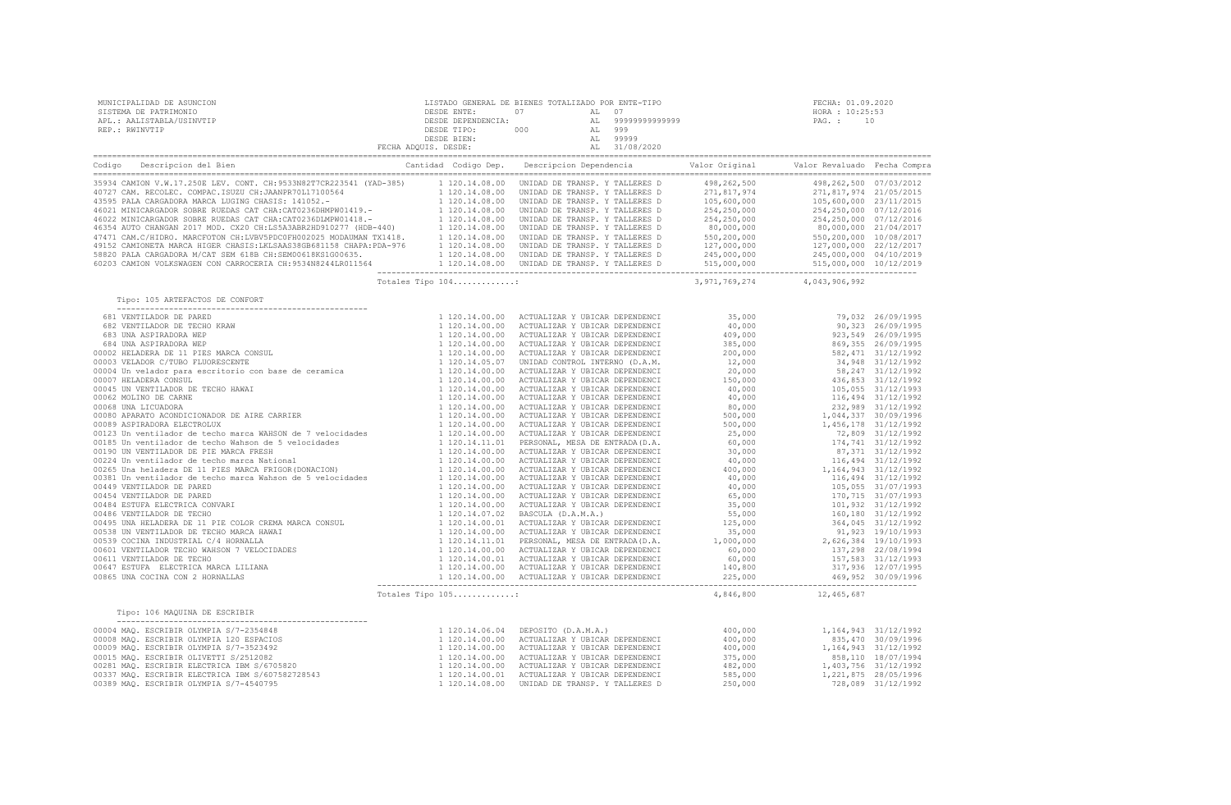| MUNICIPALIDAD DE ASUNCION<br>SISTEMA DE PATRIMONIO<br>APL.: AALISTABLA/USINVTIP<br>REP.: RWINVTIP                                                                                                                                                                                                                                                                              |                   |                                   |  |  |
|--------------------------------------------------------------------------------------------------------------------------------------------------------------------------------------------------------------------------------------------------------------------------------------------------------------------------------------------------------------------------------|-------------------|-----------------------------------|--|--|
|                                                                                                                                                                                                                                                                                                                                                                                |                   |                                   |  |  |
|                                                                                                                                                                                                                                                                                                                                                                                |                   |                                   |  |  |
|                                                                                                                                                                                                                                                                                                                                                                                |                   |                                   |  |  |
|                                                                                                                                                                                                                                                                                                                                                                                |                   |                                   |  |  |
|                                                                                                                                                                                                                                                                                                                                                                                |                   |                                   |  |  |
|                                                                                                                                                                                                                                                                                                                                                                                |                   |                                   |  |  |
|                                                                                                                                                                                                                                                                                                                                                                                |                   |                                   |  |  |
|                                                                                                                                                                                                                                                                                                                                                                                |                   |                                   |  |  |
|                                                                                                                                                                                                                                                                                                                                                                                |                   |                                   |  |  |
|                                                                                                                                                                                                                                                                                                                                                                                |                   |                                   |  |  |
|                                                                                                                                                                                                                                                                                                                                                                                | Totales Tipo 104: | 3, 971, 769, 274 4, 043, 906, 992 |  |  |
| Tipo: 105 ARTEFACTOS DE CONFORT                                                                                                                                                                                                                                                                                                                                                |                   |                                   |  |  |
|                                                                                                                                                                                                                                                                                                                                                                                |                   |                                   |  |  |
|                                                                                                                                                                                                                                                                                                                                                                                |                   |                                   |  |  |
|                                                                                                                                                                                                                                                                                                                                                                                |                   |                                   |  |  |
|                                                                                                                                                                                                                                                                                                                                                                                |                   |                                   |  |  |
|                                                                                                                                                                                                                                                                                                                                                                                |                   |                                   |  |  |
|                                                                                                                                                                                                                                                                                                                                                                                |                   |                                   |  |  |
|                                                                                                                                                                                                                                                                                                                                                                                |                   |                                   |  |  |
|                                                                                                                                                                                                                                                                                                                                                                                |                   |                                   |  |  |
|                                                                                                                                                                                                                                                                                                                                                                                |                   |                                   |  |  |
|                                                                                                                                                                                                                                                                                                                                                                                |                   |                                   |  |  |
|                                                                                                                                                                                                                                                                                                                                                                                |                   |                                   |  |  |
|                                                                                                                                                                                                                                                                                                                                                                                |                   |                                   |  |  |
|                                                                                                                                                                                                                                                                                                                                                                                |                   |                                   |  |  |
|                                                                                                                                                                                                                                                                                                                                                                                |                   |                                   |  |  |
|                                                                                                                                                                                                                                                                                                                                                                                |                   |                                   |  |  |
|                                                                                                                                                                                                                                                                                                                                                                                |                   |                                   |  |  |
|                                                                                                                                                                                                                                                                                                                                                                                |                   |                                   |  |  |
|                                                                                                                                                                                                                                                                                                                                                                                |                   |                                   |  |  |
|                                                                                                                                                                                                                                                                                                                                                                                |                   |                                   |  |  |
|                                                                                                                                                                                                                                                                                                                                                                                |                   |                                   |  |  |
|                                                                                                                                                                                                                                                                                                                                                                                |                   |                                   |  |  |
|                                                                                                                                                                                                                                                                                                                                                                                |                   |                                   |  |  |
|                                                                                                                                                                                                                                                                                                                                                                                |                   |                                   |  |  |
|                                                                                                                                                                                                                                                                                                                                                                                |                   |                                   |  |  |
|                                                                                                                                                                                                                                                                                                                                                                                |                   |                                   |  |  |
|                                                                                                                                                                                                                                                                                                                                                                                |                   |                                   |  |  |
|                                                                                                                                                                                                                                                                                                                                                                                |                   |                                   |  |  |
| Tipo: 106 MAQUINA DE ESCRIBIR                                                                                                                                                                                                                                                                                                                                                  |                   |                                   |  |  |
| $00004 \text{ MAQ. ESCRIBIR OLMPIA} \text{ DECRIBIR OLMPIA} = \frac{120.14 \cdot 00.00 \text{ ACTUALIZAR Y UBLCR BEPENDENCI} }{00008 \text{ MAQ. ESCRIBIR OLMPIA} \text{ DCTLICAR DEPENDENCI} } \text{ 90008 MAQ. ESCRIBIR OLMPIA S/7-2354848} \text{ 90008 MAQ. ESCRIBIR OLMPIA S/7-2354848} \text{ 90008 MAQ. ESCRIBIR OLMPIA S/7-2354848} \text{ 90008 MAQ. ESCRIBIR OLMPI$ |                   |                                   |  |  |
|                                                                                                                                                                                                                                                                                                                                                                                |                   |                                   |  |  |
|                                                                                                                                                                                                                                                                                                                                                                                |                   |                                   |  |  |
|                                                                                                                                                                                                                                                                                                                                                                                |                   |                                   |  |  |
|                                                                                                                                                                                                                                                                                                                                                                                |                   |                                   |  |  |
| 00389 MAQ. ESCRIBIR OLYMPIA S/7-4540795                                                                                                                                                                                                                                                                                                                                        |                   |                                   |  |  |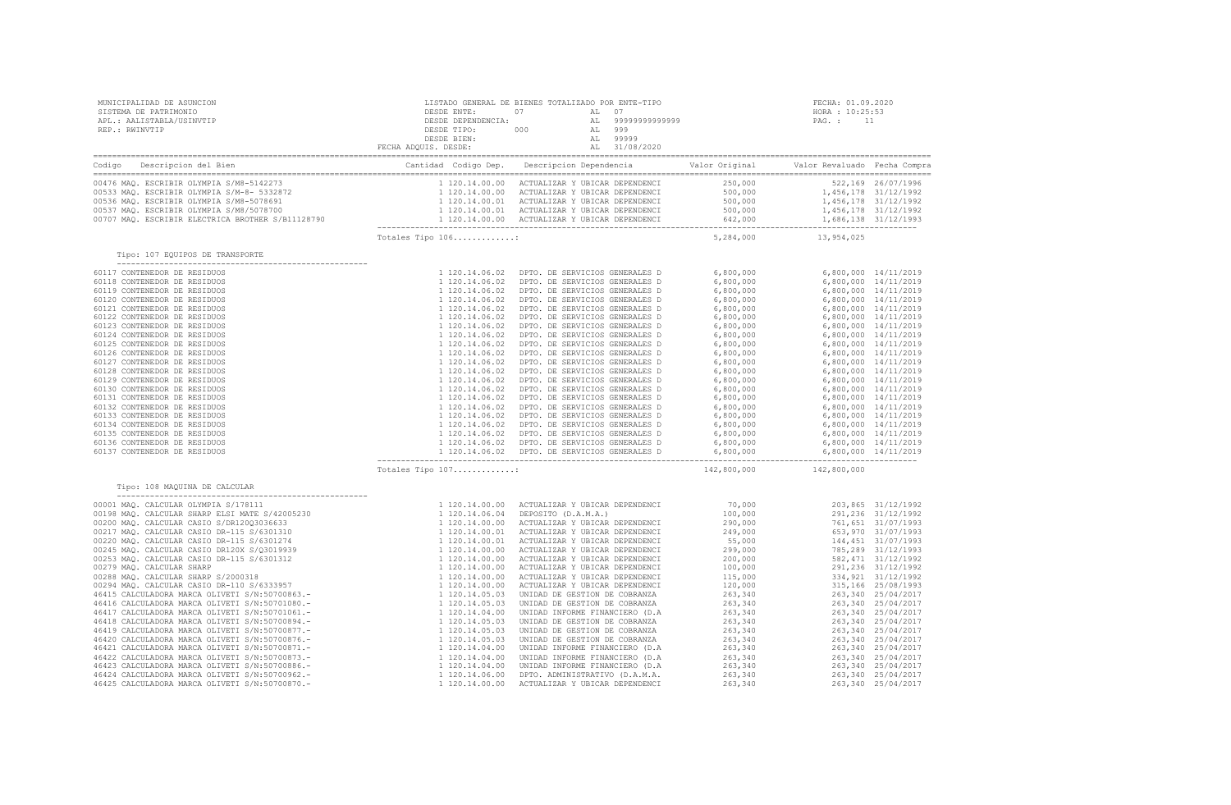| MUNICIPALIDAD DE ASUNCION<br>SISTEMA DE PATRIMONIO                                                                                     |                   |                                                                                                                                                                                                                                                                                                                                        |                         |  |
|----------------------------------------------------------------------------------------------------------------------------------------|-------------------|----------------------------------------------------------------------------------------------------------------------------------------------------------------------------------------------------------------------------------------------------------------------------------------------------------------------------------------|-------------------------|--|
| APL.: AALISTABLA/USINVTIP                                                                                                              |                   |                                                                                                                                                                                                                                                                                                                                        |                         |  |
| REP.: RWINVTIP                                                                                                                         |                   |                                                                                                                                                                                                                                                                                                                                        |                         |  |
|                                                                                                                                        |                   |                                                                                                                                                                                                                                                                                                                                        |                         |  |
| Descripcion del Bien anno 1992 cantidad Codigo Dep. Descripcion Dependencia anno Valor Original Valor Revaluado Fecha Compra<br>Codigo |                   |                                                                                                                                                                                                                                                                                                                                        |                         |  |
|                                                                                                                                        |                   |                                                                                                                                                                                                                                                                                                                                        |                         |  |
|                                                                                                                                        |                   |                                                                                                                                                                                                                                                                                                                                        |                         |  |
|                                                                                                                                        |                   |                                                                                                                                                                                                                                                                                                                                        |                         |  |
|                                                                                                                                        |                   |                                                                                                                                                                                                                                                                                                                                        |                         |  |
|                                                                                                                                        |                   |                                                                                                                                                                                                                                                                                                                                        |                         |  |
| Tipo: 107 EQUIPOS DE TRANSPORTE                                                                                                        |                   |                                                                                                                                                                                                                                                                                                                                        |                         |  |
| 60117 CONTENEDOR DE RESIDUOS                                                                                                           |                   |                                                                                                                                                                                                                                                                                                                                        |                         |  |
| 60118 CONTENEDOR DE RESIDUOS                                                                                                           |                   |                                                                                                                                                                                                                                                                                                                                        |                         |  |
| 60119 CONTENEDOR DE RESIDUOS                                                                                                           |                   |                                                                                                                                                                                                                                                                                                                                        |                         |  |
| 60120 CONTENEDOR DE RESIDUOS                                                                                                           |                   |                                                                                                                                                                                                                                                                                                                                        |                         |  |
| 60121 CONTENEDOR DE RESIDUOS<br>60122 CONTENEDOR DE RESIDUOS                                                                           |                   |                                                                                                                                                                                                                                                                                                                                        |                         |  |
| 60123 CONTENEDOR DE RESIDUOS                                                                                                           |                   |                                                                                                                                                                                                                                                                                                                                        |                         |  |
| 60124 CONTENEDOR DE RESIDUOS                                                                                                           |                   |                                                                                                                                                                                                                                                                                                                                        |                         |  |
| 60125 CONTENEDOR DE RESIDUOS                                                                                                           |                   |                                                                                                                                                                                                                                                                                                                                        |                         |  |
| 60126 CONTENEDOR DE RESIDUOS                                                                                                           |                   |                                                                                                                                                                                                                                                                                                                                        |                         |  |
| 60127 CONTENEDOR DE RESIDUOS                                                                                                           |                   |                                                                                                                                                                                                                                                                                                                                        |                         |  |
| 60128 CONTENEDOR DE RESIDUOS                                                                                                           |                   |                                                                                                                                                                                                                                                                                                                                        |                         |  |
| 60129 CONTENEDOR DE RESIDUOS                                                                                                           |                   |                                                                                                                                                                                                                                                                                                                                        |                         |  |
| 60130 CONTENEDOR DE RESIDUOS                                                                                                           |                   |                                                                                                                                                                                                                                                                                                                                        |                         |  |
| 60131 CONTENEDOR DE RESIDUOS                                                                                                           |                   |                                                                                                                                                                                                                                                                                                                                        |                         |  |
| 60132 CONTENEDOR DE RESIDUOS<br>60133 CONTENEDOR DE RESIDUOS                                                                           |                   |                                                                                                                                                                                                                                                                                                                                        |                         |  |
| 60134 CONTENEDOR DE RESIDUOS                                                                                                           |                   |                                                                                                                                                                                                                                                                                                                                        |                         |  |
| 60135 CONTENEDOR DE RESIDUOS                                                                                                           |                   |                                                                                                                                                                                                                                                                                                                                        |                         |  |
| 60136 CONTENEDOR DE RESIDUOS                                                                                                           |                   |                                                                                                                                                                                                                                                                                                                                        |                         |  |
| 60137 CONTENEDOR DE RESIDUOS                                                                                                           |                   |                                                                                                                                                                                                                                                                                                                                        |                         |  |
|                                                                                                                                        | Totales Tipo 107: | $\begin{tabular}{cccccccc} \textbf{DCT-1} & \textbf{1} & 120.14, 06.02 & \textbf{DCT-2} & \textbf{DCT-3} & 6, 800, 000 & 6, 800, 000 & 14/11/2019 \\ 1 & 120.14, 06.02 & \textbf{DPTO}, \textbf{DE} \textbf{ SENTNICS G SINERALES D} & 6, 800, 000 & 6, 800, 000 & 14/11/2019 \\ 1 & 120.14, 06.02 & \textbf{DPTO}, \textbf{DE} \text$ | 142,800,000 142,800,000 |  |
| Tipo: 108 MAQUINA DE CALCULAR                                                                                                          |                   |                                                                                                                                                                                                                                                                                                                                        |                         |  |
|                                                                                                                                        |                   |                                                                                                                                                                                                                                                                                                                                        |                         |  |
|                                                                                                                                        |                   |                                                                                                                                                                                                                                                                                                                                        |                         |  |
|                                                                                                                                        |                   |                                                                                                                                                                                                                                                                                                                                        |                         |  |
|                                                                                                                                        |                   |                                                                                                                                                                                                                                                                                                                                        |                         |  |
|                                                                                                                                        |                   |                                                                                                                                                                                                                                                                                                                                        |                         |  |
|                                                                                                                                        |                   |                                                                                                                                                                                                                                                                                                                                        |                         |  |
|                                                                                                                                        |                   |                                                                                                                                                                                                                                                                                                                                        |                         |  |
|                                                                                                                                        |                   |                                                                                                                                                                                                                                                                                                                                        |                         |  |
|                                                                                                                                        |                   |                                                                                                                                                                                                                                                                                                                                        |                         |  |
|                                                                                                                                        |                   |                                                                                                                                                                                                                                                                                                                                        |                         |  |
|                                                                                                                                        |                   |                                                                                                                                                                                                                                                                                                                                        |                         |  |
|                                                                                                                                        |                   |                                                                                                                                                                                                                                                                                                                                        |                         |  |
|                                                                                                                                        |                   |                                                                                                                                                                                                                                                                                                                                        |                         |  |
|                                                                                                                                        |                   |                                                                                                                                                                                                                                                                                                                                        |                         |  |
|                                                                                                                                        |                   |                                                                                                                                                                                                                                                                                                                                        |                         |  |
|                                                                                                                                        |                   |                                                                                                                                                                                                                                                                                                                                        |                         |  |
|                                                                                                                                        |                   |                                                                                                                                                                                                                                                                                                                                        |                         |  |
|                                                                                                                                        |                   |                                                                                                                                                                                                                                                                                                                                        |                         |  |
|                                                                                                                                        |                   |                                                                                                                                                                                                                                                                                                                                        |                         |  |
|                                                                                                                                        |                   |                                                                                                                                                                                                                                                                                                                                        |                         |  |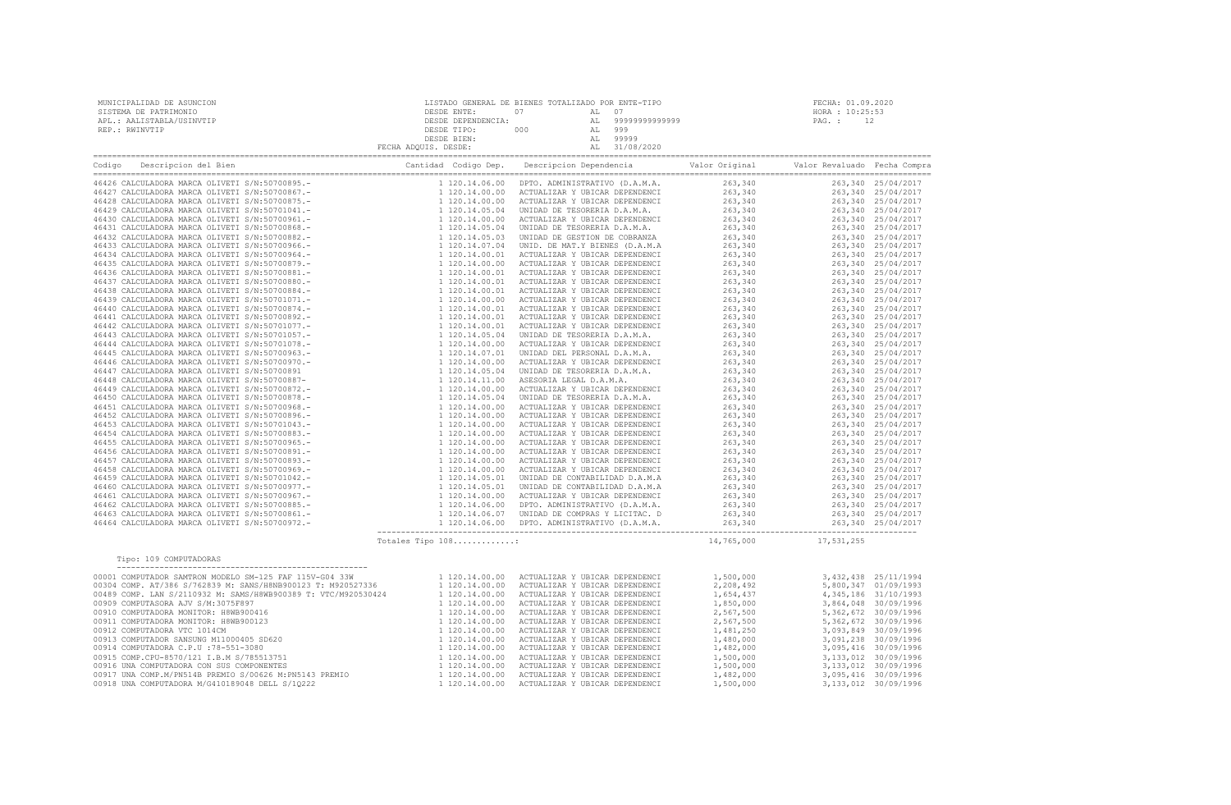| MUNICIPALIDAD DE ASUNCION<br>SISTEMA DE PATRIMONIO<br>APL.: AALISTABLA/USINVTIP<br>REP.: RWINVTIP                                                                                                                                                                                                                                                                                   | $\begin{tabular}{c c c c c} \multicolumn{4}{c}{\textbf{LISTADO GENERAL DE BIERES TOTALIZADO POR ENTE-TIFO} & \multicolumn{4}{c}{\textbf{FECHA: 01.09.202}} \\ \multicolumn{4}{c}{\textbf{DESDE ENTE:} & 07 \\ \multicolumn{4}{c}{\textbf{DESDE BIENE}} \\ \multicolumn{4}{c}{\textbf{DESDE BIENE}} \\ \multicolumn{4}{c}{\textbf{DESDE BIENE}} \\ \multicolumn{4}{c}{\textbf{DESDE BIENE}} \\ \multicolumn{4}{c}{\textbf{DESDE BIENE}} \\ \multicolumn{4}{c}{\text$ |                       | FECHA: 01.09.2020 |
|-------------------------------------------------------------------------------------------------------------------------------------------------------------------------------------------------------------------------------------------------------------------------------------------------------------------------------------------------------------------------------------|---------------------------------------------------------------------------------------------------------------------------------------------------------------------------------------------------------------------------------------------------------------------------------------------------------------------------------------------------------------------------------------------------------------------------------------------------------------------|-----------------------|-------------------|
| Codigo Descripcion del Bien de Marco de Marco Cantidad Codigo Dep. Descripcion Dependencia de Valor Original Valor Revaluado Fecha Compra                                                                                                                                                                                                                                           |                                                                                                                                                                                                                                                                                                                                                                                                                                                                     |                       |                   |
|                                                                                                                                                                                                                                                                                                                                                                                     |                                                                                                                                                                                                                                                                                                                                                                                                                                                                     |                       |                   |
|                                                                                                                                                                                                                                                                                                                                                                                     |                                                                                                                                                                                                                                                                                                                                                                                                                                                                     |                       |                   |
|                                                                                                                                                                                                                                                                                                                                                                                     |                                                                                                                                                                                                                                                                                                                                                                                                                                                                     |                       |                   |
|                                                                                                                                                                                                                                                                                                                                                                                     |                                                                                                                                                                                                                                                                                                                                                                                                                                                                     |                       |                   |
|                                                                                                                                                                                                                                                                                                                                                                                     |                                                                                                                                                                                                                                                                                                                                                                                                                                                                     |                       |                   |
|                                                                                                                                                                                                                                                                                                                                                                                     |                                                                                                                                                                                                                                                                                                                                                                                                                                                                     |                       |                   |
|                                                                                                                                                                                                                                                                                                                                                                                     |                                                                                                                                                                                                                                                                                                                                                                                                                                                                     |                       |                   |
|                                                                                                                                                                                                                                                                                                                                                                                     |                                                                                                                                                                                                                                                                                                                                                                                                                                                                     |                       |                   |
|                                                                                                                                                                                                                                                                                                                                                                                     |                                                                                                                                                                                                                                                                                                                                                                                                                                                                     |                       |                   |
|                                                                                                                                                                                                                                                                                                                                                                                     |                                                                                                                                                                                                                                                                                                                                                                                                                                                                     |                       |                   |
|                                                                                                                                                                                                                                                                                                                                                                                     |                                                                                                                                                                                                                                                                                                                                                                                                                                                                     |                       |                   |
|                                                                                                                                                                                                                                                                                                                                                                                     |                                                                                                                                                                                                                                                                                                                                                                                                                                                                     |                       |                   |
|                                                                                                                                                                                                                                                                                                                                                                                     |                                                                                                                                                                                                                                                                                                                                                                                                                                                                     |                       |                   |
|                                                                                                                                                                                                                                                                                                                                                                                     |                                                                                                                                                                                                                                                                                                                                                                                                                                                                     |                       |                   |
|                                                                                                                                                                                                                                                                                                                                                                                     |                                                                                                                                                                                                                                                                                                                                                                                                                                                                     |                       |                   |
|                                                                                                                                                                                                                                                                                                                                                                                     |                                                                                                                                                                                                                                                                                                                                                                                                                                                                     |                       |                   |
|                                                                                                                                                                                                                                                                                                                                                                                     |                                                                                                                                                                                                                                                                                                                                                                                                                                                                     |                       |                   |
|                                                                                                                                                                                                                                                                                                                                                                                     |                                                                                                                                                                                                                                                                                                                                                                                                                                                                     |                       |                   |
|                                                                                                                                                                                                                                                                                                                                                                                     |                                                                                                                                                                                                                                                                                                                                                                                                                                                                     |                       |                   |
|                                                                                                                                                                                                                                                                                                                                                                                     |                                                                                                                                                                                                                                                                                                                                                                                                                                                                     |                       |                   |
|                                                                                                                                                                                                                                                                                                                                                                                     |                                                                                                                                                                                                                                                                                                                                                                                                                                                                     |                       |                   |
|                                                                                                                                                                                                                                                                                                                                                                                     |                                                                                                                                                                                                                                                                                                                                                                                                                                                                     |                       |                   |
|                                                                                                                                                                                                                                                                                                                                                                                     |                                                                                                                                                                                                                                                                                                                                                                                                                                                                     |                       |                   |
|                                                                                                                                                                                                                                                                                                                                                                                     |                                                                                                                                                                                                                                                                                                                                                                                                                                                                     |                       |                   |
|                                                                                                                                                                                                                                                                                                                                                                                     |                                                                                                                                                                                                                                                                                                                                                                                                                                                                     |                       |                   |
|                                                                                                                                                                                                                                                                                                                                                                                     |                                                                                                                                                                                                                                                                                                                                                                                                                                                                     |                       |                   |
|                                                                                                                                                                                                                                                                                                                                                                                     |                                                                                                                                                                                                                                                                                                                                                                                                                                                                     |                       |                   |
|                                                                                                                                                                                                                                                                                                                                                                                     |                                                                                                                                                                                                                                                                                                                                                                                                                                                                     |                       |                   |
|                                                                                                                                                                                                                                                                                                                                                                                     |                                                                                                                                                                                                                                                                                                                                                                                                                                                                     |                       |                   |
|                                                                                                                                                                                                                                                                                                                                                                                     |                                                                                                                                                                                                                                                                                                                                                                                                                                                                     |                       |                   |
|                                                                                                                                                                                                                                                                                                                                                                                     |                                                                                                                                                                                                                                                                                                                                                                                                                                                                     |                       |                   |
|                                                                                                                                                                                                                                                                                                                                                                                     |                                                                                                                                                                                                                                                                                                                                                                                                                                                                     |                       |                   |
|                                                                                                                                                                                                                                                                                                                                                                                     |                                                                                                                                                                                                                                                                                                                                                                                                                                                                     |                       |                   |
|                                                                                                                                                                                                                                                                                                                                                                                     |                                                                                                                                                                                                                                                                                                                                                                                                                                                                     |                       |                   |
|                                                                                                                                                                                                                                                                                                                                                                                     |                                                                                                                                                                                                                                                                                                                                                                                                                                                                     |                       |                   |
|                                                                                                                                                                                                                                                                                                                                                                                     |                                                                                                                                                                                                                                                                                                                                                                                                                                                                     |                       |                   |
|                                                                                                                                                                                                                                                                                                                                                                                     |                                                                                                                                                                                                                                                                                                                                                                                                                                                                     |                       |                   |
|                                                                                                                                                                                                                                                                                                                                                                                     |                                                                                                                                                                                                                                                                                                                                                                                                                                                                     |                       |                   |
|                                                                                                                                                                                                                                                                                                                                                                                     | Totales Tipo 108:                                                                                                                                                                                                                                                                                                                                                                                                                                                   | 14,765,000 17,531,255 |                   |
| Tipo: 109 COMPUTADORAS                                                                                                                                                                                                                                                                                                                                                              |                                                                                                                                                                                                                                                                                                                                                                                                                                                                     |                       |                   |
| $\begin{tabular}{cccccc} \texttt{0.0011}\texttt{COMPTRION} \texttt{0.0012}\texttt{COMPTRION} \texttt{0.0011}\texttt{COMPTRION} \texttt{0.0011}\texttt{COMPTRION} \texttt{0.0011}\texttt{COMPTRION} \texttt{0.0011}\texttt{0.0012}\texttt{0.0012}\texttt{0.0013}\texttt{0.0013}\texttt{0.0014}\texttt{0.0011}\texttt{0.0011}\texttt{0.0011}\texttt{0.0011}\texttt{0.0011}\texttt{0.$ |                                                                                                                                                                                                                                                                                                                                                                                                                                                                     |                       |                   |
|                                                                                                                                                                                                                                                                                                                                                                                     |                                                                                                                                                                                                                                                                                                                                                                                                                                                                     |                       |                   |
|                                                                                                                                                                                                                                                                                                                                                                                     |                                                                                                                                                                                                                                                                                                                                                                                                                                                                     |                       |                   |
|                                                                                                                                                                                                                                                                                                                                                                                     |                                                                                                                                                                                                                                                                                                                                                                                                                                                                     |                       |                   |
|                                                                                                                                                                                                                                                                                                                                                                                     |                                                                                                                                                                                                                                                                                                                                                                                                                                                                     |                       |                   |
|                                                                                                                                                                                                                                                                                                                                                                                     |                                                                                                                                                                                                                                                                                                                                                                                                                                                                     |                       |                   |
|                                                                                                                                                                                                                                                                                                                                                                                     |                                                                                                                                                                                                                                                                                                                                                                                                                                                                     |                       |                   |
|                                                                                                                                                                                                                                                                                                                                                                                     |                                                                                                                                                                                                                                                                                                                                                                                                                                                                     |                       |                   |
|                                                                                                                                                                                                                                                                                                                                                                                     |                                                                                                                                                                                                                                                                                                                                                                                                                                                                     |                       |                   |
|                                                                                                                                                                                                                                                                                                                                                                                     |                                                                                                                                                                                                                                                                                                                                                                                                                                                                     |                       |                   |
|                                                                                                                                                                                                                                                                                                                                                                                     |                                                                                                                                                                                                                                                                                                                                                                                                                                                                     |                       |                   |
|                                                                                                                                                                                                                                                                                                                                                                                     |                                                                                                                                                                                                                                                                                                                                                                                                                                                                     |                       |                   |
|                                                                                                                                                                                                                                                                                                                                                                                     |                                                                                                                                                                                                                                                                                                                                                                                                                                                                     |                       |                   |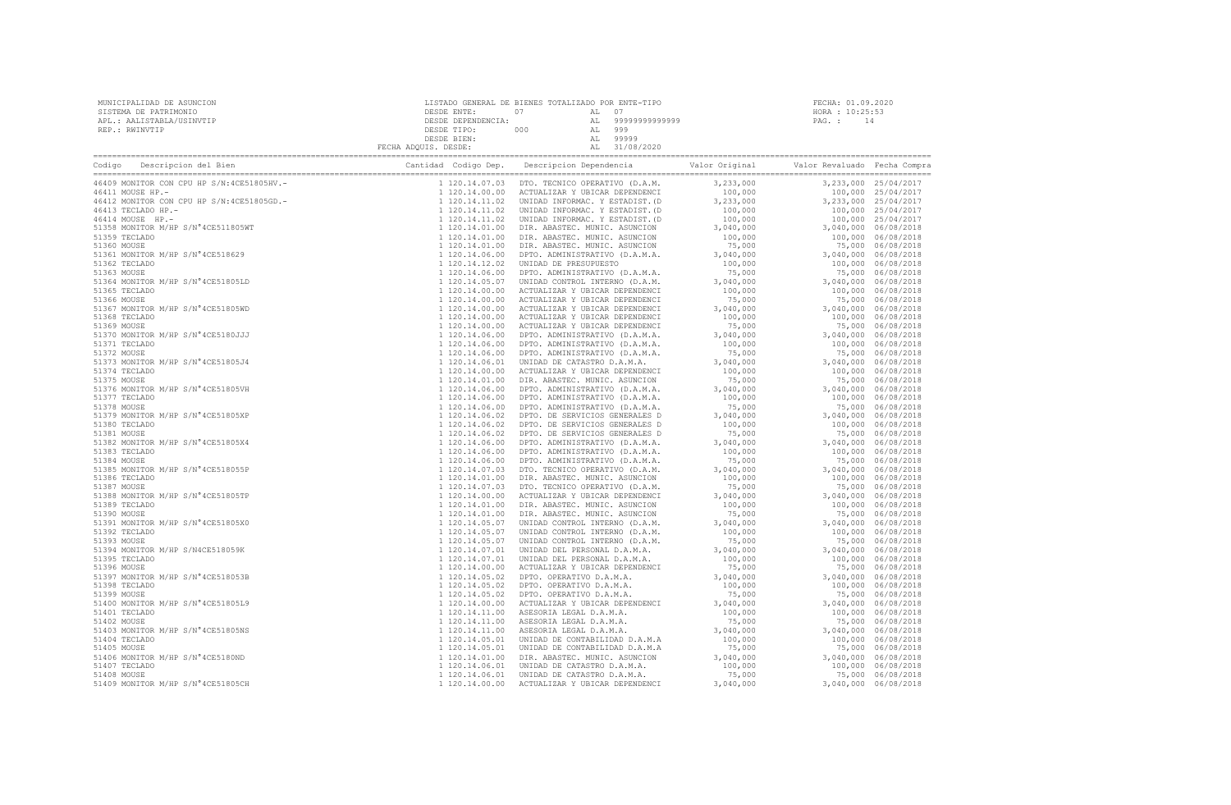| MUNICIPALIDAD DE ASUNCION<br>ALISTADO GENERE DE BIENES TOTALIZADO POR ENTE-TIPO FECHA: 01.09.2020<br>ALISTADA DE PARA I DESDE ENTE : ANISTANA DE SEDE ENTE I (1.09.2020<br>ALISTADA DESDE TIPO (1.09.2020 HORA : 10:25:53<br>PESDE TIP |  |  |  |
|----------------------------------------------------------------------------------------------------------------------------------------------------------------------------------------------------------------------------------------|--|--|--|
|                                                                                                                                                                                                                                        |  |  |  |
|                                                                                                                                                                                                                                        |  |  |  |
|                                                                                                                                                                                                                                        |  |  |  |
|                                                                                                                                                                                                                                        |  |  |  |
|                                                                                                                                                                                                                                        |  |  |  |
|                                                                                                                                                                                                                                        |  |  |  |
|                                                                                                                                                                                                                                        |  |  |  |
|                                                                                                                                                                                                                                        |  |  |  |
|                                                                                                                                                                                                                                        |  |  |  |
|                                                                                                                                                                                                                                        |  |  |  |
|                                                                                                                                                                                                                                        |  |  |  |
|                                                                                                                                                                                                                                        |  |  |  |
|                                                                                                                                                                                                                                        |  |  |  |
|                                                                                                                                                                                                                                        |  |  |  |
|                                                                                                                                                                                                                                        |  |  |  |
|                                                                                                                                                                                                                                        |  |  |  |
|                                                                                                                                                                                                                                        |  |  |  |
|                                                                                                                                                                                                                                        |  |  |  |
|                                                                                                                                                                                                                                        |  |  |  |
|                                                                                                                                                                                                                                        |  |  |  |
|                                                                                                                                                                                                                                        |  |  |  |
|                                                                                                                                                                                                                                        |  |  |  |
|                                                                                                                                                                                                                                        |  |  |  |
|                                                                                                                                                                                                                                        |  |  |  |
|                                                                                                                                                                                                                                        |  |  |  |
|                                                                                                                                                                                                                                        |  |  |  |
|                                                                                                                                                                                                                                        |  |  |  |
|                                                                                                                                                                                                                                        |  |  |  |
|                                                                                                                                                                                                                                        |  |  |  |
|                                                                                                                                                                                                                                        |  |  |  |
|                                                                                                                                                                                                                                        |  |  |  |
|                                                                                                                                                                                                                                        |  |  |  |
|                                                                                                                                                                                                                                        |  |  |  |
|                                                                                                                                                                                                                                        |  |  |  |
|                                                                                                                                                                                                                                        |  |  |  |
|                                                                                                                                                                                                                                        |  |  |  |
|                                                                                                                                                                                                                                        |  |  |  |
|                                                                                                                                                                                                                                        |  |  |  |
|                                                                                                                                                                                                                                        |  |  |  |
|                                                                                                                                                                                                                                        |  |  |  |
|                                                                                                                                                                                                                                        |  |  |  |
|                                                                                                                                                                                                                                        |  |  |  |
|                                                                                                                                                                                                                                        |  |  |  |
|                                                                                                                                                                                                                                        |  |  |  |
|                                                                                                                                                                                                                                        |  |  |  |
|                                                                                                                                                                                                                                        |  |  |  |
|                                                                                                                                                                                                                                        |  |  |  |
|                                                                                                                                                                                                                                        |  |  |  |
|                                                                                                                                                                                                                                        |  |  |  |
|                                                                                                                                                                                                                                        |  |  |  |
|                                                                                                                                                                                                                                        |  |  |  |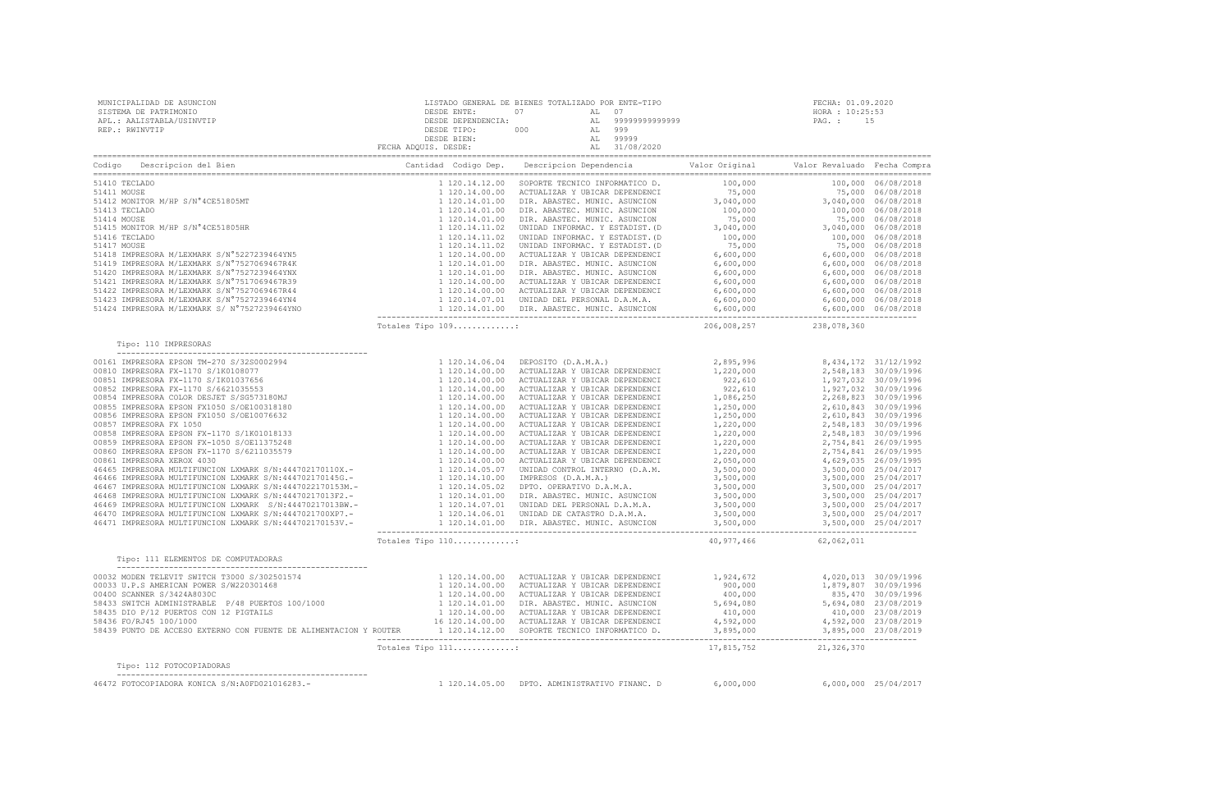| MUNICIPALIDAD DE ASUNCION<br>SISTEMA DE PATRIMONIO<br>APL.: AALISTABLA/USINVTIP<br>REP.: RWINVTIP                                                                                                                                                                                                                                                          |                   |                                               |                         | FECHA: 01.09.2020     |                      |
|------------------------------------------------------------------------------------------------------------------------------------------------------------------------------------------------------------------------------------------------------------------------------------------------------------------------------------------------------------|-------------------|-----------------------------------------------|-------------------------|-----------------------|----------------------|
|                                                                                                                                                                                                                                                                                                                                                            |                   |                                               |                         |                       |                      |
|                                                                                                                                                                                                                                                                                                                                                            |                   |                                               |                         |                       |                      |
|                                                                                                                                                                                                                                                                                                                                                            |                   |                                               |                         |                       |                      |
|                                                                                                                                                                                                                                                                                                                                                            |                   |                                               |                         |                       |                      |
|                                                                                                                                                                                                                                                                                                                                                            |                   |                                               |                         |                       |                      |
|                                                                                                                                                                                                                                                                                                                                                            |                   |                                               |                         |                       |                      |
|                                                                                                                                                                                                                                                                                                                                                            |                   |                                               |                         |                       |                      |
|                                                                                                                                                                                                                                                                                                                                                            |                   |                                               |                         |                       |                      |
|                                                                                                                                                                                                                                                                                                                                                            |                   |                                               |                         |                       |                      |
|                                                                                                                                                                                                                                                                                                                                                            |                   |                                               |                         |                       |                      |
|                                                                                                                                                                                                                                                                                                                                                            |                   |                                               |                         |                       |                      |
|                                                                                                                                                                                                                                                                                                                                                            |                   |                                               |                         |                       |                      |
|                                                                                                                                                                                                                                                                                                                                                            |                   |                                               |                         |                       |                      |
|                                                                                                                                                                                                                                                                                                                                                            |                   |                                               |                         |                       |                      |
|                                                                                                                                                                                                                                                                                                                                                            | Totales Tipo 109: |                                               | 206,008,257 238,078,360 |                       |                      |
| Tipo: 110 IMPRESORAS                                                                                                                                                                                                                                                                                                                                       |                   |                                               |                         |                       |                      |
|                                                                                                                                                                                                                                                                                                                                                            |                   |                                               |                         |                       |                      |
|                                                                                                                                                                                                                                                                                                                                                            |                   |                                               |                         |                       |                      |
|                                                                                                                                                                                                                                                                                                                                                            |                   |                                               |                         |                       |                      |
|                                                                                                                                                                                                                                                                                                                                                            |                   |                                               |                         |                       |                      |
|                                                                                                                                                                                                                                                                                                                                                            |                   |                                               |                         |                       |                      |
|                                                                                                                                                                                                                                                                                                                                                            |                   |                                               |                         |                       |                      |
|                                                                                                                                                                                                                                                                                                                                                            |                   |                                               |                         |                       |                      |
|                                                                                                                                                                                                                                                                                                                                                            |                   |                                               |                         |                       |                      |
|                                                                                                                                                                                                                                                                                                                                                            |                   |                                               |                         |                       |                      |
|                                                                                                                                                                                                                                                                                                                                                            |                   |                                               |                         |                       |                      |
|                                                                                                                                                                                                                                                                                                                                                            |                   |                                               |                         |                       |                      |
|                                                                                                                                                                                                                                                                                                                                                            |                   |                                               |                         |                       |                      |
|                                                                                                                                                                                                                                                                                                                                                            |                   |                                               |                         |                       |                      |
|                                                                                                                                                                                                                                                                                                                                                            |                   |                                               |                         |                       |                      |
|                                                                                                                                                                                                                                                                                                                                                            |                   |                                               |                         |                       |                      |
|                                                                                                                                                                                                                                                                                                                                                            |                   |                                               |                         |                       |                      |
|                                                                                                                                                                                                                                                                                                                                                            |                   | Totales Tipo 110:                             |                         | 40,977,466 62,062,011 |                      |
| Tipo: 111 ELEMENTOS DE COMPUTADORAS                                                                                                                                                                                                                                                                                                                        |                   |                                               |                         |                       |                      |
|                                                                                                                                                                                                                                                                                                                                                            |                   |                                               |                         |                       |                      |
|                                                                                                                                                                                                                                                                                                                                                            |                   |                                               |                         |                       |                      |
|                                                                                                                                                                                                                                                                                                                                                            |                   |                                               |                         |                       |                      |
|                                                                                                                                                                                                                                                                                                                                                            |                   |                                               |                         |                       |                      |
|                                                                                                                                                                                                                                                                                                                                                            |                   |                                               |                         |                       |                      |
| $\begin{array}{cccccccc} 0.0032 & \text{MOED} & \text{TELEVIT SHTCH T3000} & 58455 & \text{TOPEIN T4T3000} & 58455 & \text{TOPEIN T4T3000} & 58455 & \text{TOPEIN T4T3000} & 5855 & \text{TOPEIN T41000} & 5855 & \text{TOPEIN T41000} & 5855 & \text{TOPEIN T41000} & 5855 & \text{TOPEIN T41000} & 5855 & \text{TOPEIN T41000} & 5855 & \text{TOPEIN T4$ |                   |                                               |                         |                       |                      |
|                                                                                                                                                                                                                                                                                                                                                            | Totales Tipo 111: | $17,815,752$ 21,326,370                       |                         |                       |                      |
| Tipo: 112 FOTOCOPIADORAS                                                                                                                                                                                                                                                                                                                                   |                   |                                               |                         |                       |                      |
| 46472 FOTOCOPIADORA KONICA S/N:A0FD021016283.-                                                                                                                                                                                                                                                                                                             |                   | 1 120.14.05.00 DPTO. ADMINISTRATIVO FINANC. D | 6,000,000               |                       | 6,000,000 25/04/2017 |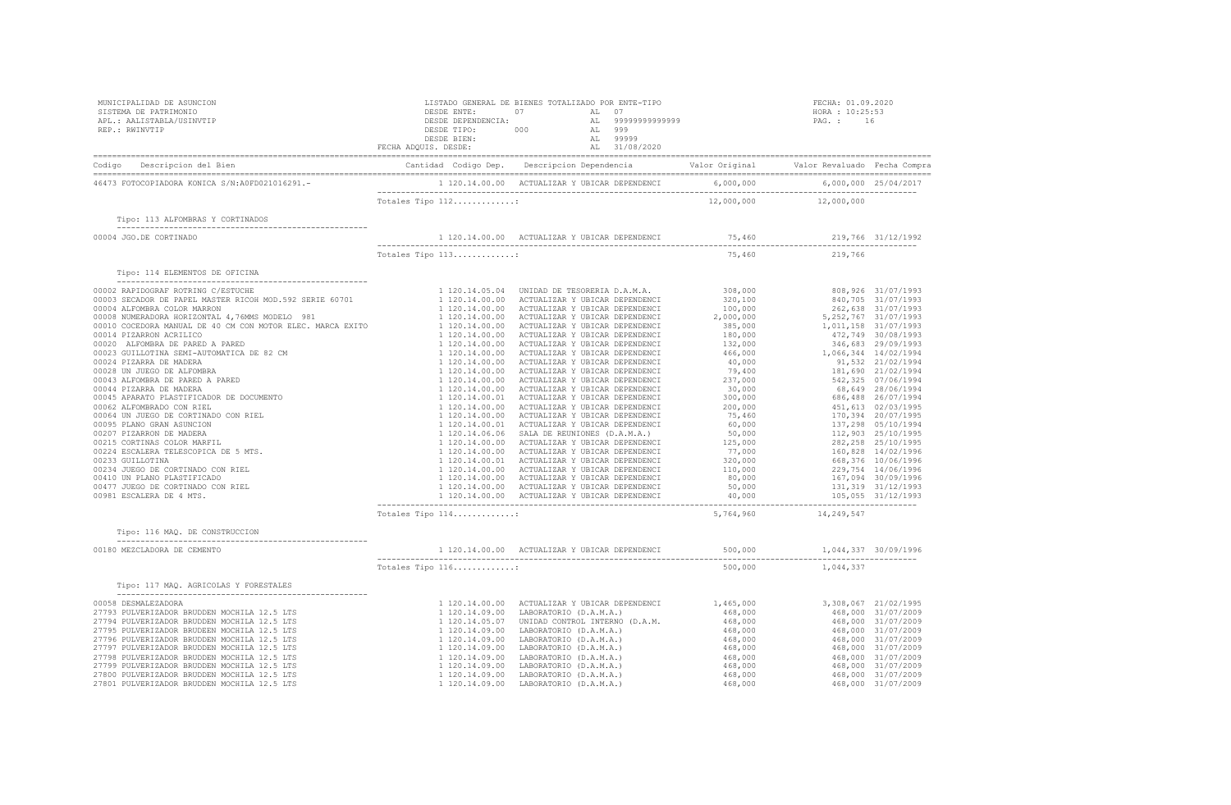| MUNICIPALIDAD DE ASUNCION<br>SISTEMA DE PATRIMONIO<br>APL.: AALISTABLA/USINVTIP<br>REP.: RWINVTIP                                         |                   | LISTADO GENERAL DE BIENES TOTALIZADO POR ENTE-TIPO                                     |           | FECHA: 01.09.2020<br>HORA : 10:25:53<br>PAG.: 16 |  |
|-------------------------------------------------------------------------------------------------------------------------------------------|-------------------|----------------------------------------------------------------------------------------|-----------|--------------------------------------------------|--|
| Codigo Descripcion del Bien de Marco de Marco Cantidad Codigo Dep. Descripcion Dependencia de Valor Original Valor Revaluado Fecha Compra |                   |                                                                                        |           |                                                  |  |
| 46473 FOTOCOPIADORA KONICA S/N:A0FD021016291.-                                                                                            |                   | 1 120.14.00.00 ACTUALIZAR Y UBICAR DEPENDENCI 6,000,000 6,000,000 6,000,000 25/04/2017 |           |                                                  |  |
|                                                                                                                                           | Totales Tipo 112: |                                                                                        |           | 12,000,000 12,000,000                            |  |
| Tipo: 113 ALFOMBRAS Y CORTINADOS                                                                                                          |                   |                                                                                        |           |                                                  |  |
| 00004 JGO.DE CORTINADO                                                                                                                    |                   | 1 120.14.00.00 ACTUALIZAR Y UBICAR DEPENDENCI 75,460 219,766 31/12/1992                |           |                                                  |  |
|                                                                                                                                           | Totales Tipo 113: |                                                                                        | 75,460    | 219,766                                          |  |
| Tipo: 114 ELEMENTOS DE OFICINA                                                                                                            |                   |                                                                                        |           |                                                  |  |
|                                                                                                                                           |                   |                                                                                        |           |                                                  |  |
|                                                                                                                                           |                   |                                                                                        |           |                                                  |  |
|                                                                                                                                           |                   |                                                                                        |           |                                                  |  |
|                                                                                                                                           |                   |                                                                                        |           |                                                  |  |
|                                                                                                                                           |                   |                                                                                        |           |                                                  |  |
|                                                                                                                                           |                   |                                                                                        |           |                                                  |  |
|                                                                                                                                           |                   |                                                                                        |           |                                                  |  |
|                                                                                                                                           |                   |                                                                                        |           |                                                  |  |
|                                                                                                                                           |                   |                                                                                        |           |                                                  |  |
|                                                                                                                                           |                   |                                                                                        |           |                                                  |  |
|                                                                                                                                           |                   |                                                                                        |           |                                                  |  |
|                                                                                                                                           |                   |                                                                                        |           |                                                  |  |
|                                                                                                                                           |                   |                                                                                        |           |                                                  |  |
|                                                                                                                                           |                   |                                                                                        |           |                                                  |  |
|                                                                                                                                           |                   |                                                                                        |           |                                                  |  |
|                                                                                                                                           |                   |                                                                                        |           |                                                  |  |
|                                                                                                                                           |                   |                                                                                        |           |                                                  |  |
|                                                                                                                                           |                   |                                                                                        |           |                                                  |  |
|                                                                                                                                           |                   |                                                                                        |           |                                                  |  |
|                                                                                                                                           |                   |                                                                                        |           |                                                  |  |
|                                                                                                                                           |                   |                                                                                        |           |                                                  |  |
|                                                                                                                                           |                   |                                                                                        |           |                                                  |  |
|                                                                                                                                           |                   |                                                                                        |           |                                                  |  |
|                                                                                                                                           | Totales Tipo 114: |                                                                                        | 5,764,960 | 14,249,547                                       |  |
| Tipo: 116 MAQ. DE CONSTRUCCION                                                                                                            |                   |                                                                                        |           |                                                  |  |
| 00180 MEZCLADORA DE CEMENTO                                                                                                               |                   | 1 120.14.00.00 ACTUALIZAR Y UBICAR DEPENDENCI 500,000 1,044,337 30/09/1996             |           |                                                  |  |
|                                                                                                                                           | Totales Tipo 116: |                                                                                        | 500,000   | 1,044,337                                        |  |
| Tipo: 117 MAQ. AGRICOLAS Y FORESTALES                                                                                                     |                   |                                                                                        |           |                                                  |  |
|                                                                                                                                           |                   |                                                                                        |           |                                                  |  |
| 00058 DESMALEZADORA                                                                                                                       |                   |                                                                                        |           |                                                  |  |
| 27793 PULVERIZADOR BRUDDEN MOCHILA 12.5 LTS                                                                                               |                   |                                                                                        |           |                                                  |  |
| 27794 PULVERIZADOR BRUDDEN MOCHILA 12.5 LTS<br>27795 PULVERIZADOR BRUDEEN MOCHILA 12.5 LTS                                                |                   |                                                                                        |           |                                                  |  |
| 27796 PULVERIZADOR BRUDDEN MOCHILA 12.5 LTS                                                                                               |                   |                                                                                        |           |                                                  |  |
| 27797 PULVERIZADOR BRUDDEN MOCHILA 12.5 LTS                                                                                               |                   |                                                                                        |           |                                                  |  |
| 27798 PULVERIZADOR BRUDDEN MOCHILA 12.5 LTS                                                                                               |                   |                                                                                        |           |                                                  |  |
| 27799 PULVERIZADOR BRUDDEN MOCHILA 12.5 LTS                                                                                               |                   |                                                                                        |           |                                                  |  |
| 27800 PULVERIZADOR BRUDDEN MOCHILA 12.5 LTS                                                                                               |                   |                                                                                        |           |                                                  |  |
| 27801 PULVERIZADOR BRUDDEN MOCHILA 12.5 LTS                                                                                               |                   |                                                                                        |           |                                                  |  |
|                                                                                                                                           |                   |                                                                                        |           |                                                  |  |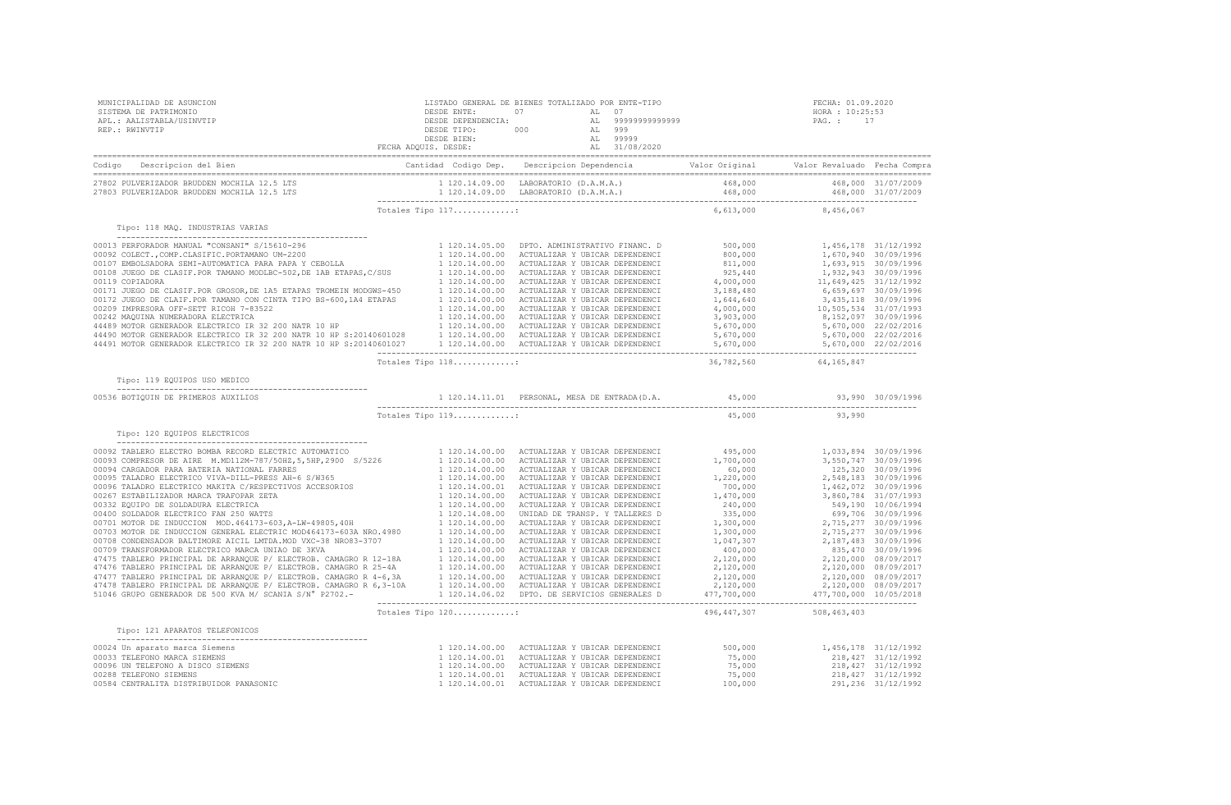| MUNICIPALIDAD DE ASUNCION<br>LISTADO GENERAL DE BIENES TOTALIZADO POR ENTE-TIPO<br>DESDE DEFENDENCIA: AL 99999999999999<br>DESDE DEFENDENCIA: AL 99999999999999<br>DESDE TIPO: 000 AL 9999<br>DESDE TIPO: AL 99999<br>DESDE BIEN: ADQUIS. DESDE: AL 31/08/2020<br>SISTEMA DE PATRIMONIO<br>APL.: AALISTABLA/USINVTIP<br>REP.: RWINVTIP |                   | LISTADO GENERAL DE BIENES TOTALIZADO POR ENTE-TIPO |  | FECHA: 01.09.2020<br>HORA : 10:25:53<br>PAG. : 17 |  |
|----------------------------------------------------------------------------------------------------------------------------------------------------------------------------------------------------------------------------------------------------------------------------------------------------------------------------------------|-------------------|----------------------------------------------------|--|---------------------------------------------------|--|
| Codigo Descripcion del Bien de Marco de Marco Cantidad Codigo Dep. Descripcion Dependencia de Valor Original Valor Revaluado Fecha Compra                                                                                                                                                                                              |                   |                                                    |  |                                                   |  |
|                                                                                                                                                                                                                                                                                                                                        |                   |                                                    |  |                                                   |  |
|                                                                                                                                                                                                                                                                                                                                        | Totales Tipo 117: |                                                    |  | $6,613,000$ 8,456,067                             |  |
| Tipo: 118 MAQ. INDUSTRIAS VARIAS                                                                                                                                                                                                                                                                                                       |                   |                                                    |  |                                                   |  |
|                                                                                                                                                                                                                                                                                                                                        |                   |                                                    |  |                                                   |  |
|                                                                                                                                                                                                                                                                                                                                        | Totales Tipo 118: |                                                    |  | 36,782,560 64,165,847                             |  |
| Tipo: 119 EQUIPOS USO MEDICO                                                                                                                                                                                                                                                                                                           |                   |                                                    |  |                                                   |  |
| 00536 BOTIQUIN DE PRIMEROS AUXILIOS                                                                                                                                                                                                                                                                                                    |                   |                                                    |  |                                                   |  |
|                                                                                                                                                                                                                                                                                                                                        |                   |                                                    |  |                                                   |  |
| Tipo: 120 EQUIPOS ELECTRICOS                                                                                                                                                                                                                                                                                                           |                   |                                                    |  |                                                   |  |
|                                                                                                                                                                                                                                                                                                                                        |                   |                                                    |  |                                                   |  |
|                                                                                                                                                                                                                                                                                                                                        | Totales Tipo 120  |                                                    |  | 496, 447, 307 508, 463, 403                       |  |
| Tipo: 121 APARATOS TELEFONICOS<br>00024 Un aparato marca Siemens                                                                                                                                                                                                                                                                       |                   |                                                    |  |                                                   |  |
| ------------------------<br>:<br>:onic<br>00033 TELEFONO MARCA SIEMENS<br>00096 UN TELEFONO A DISCO SIEMENS<br>00288 TELEFONO SIEMENS<br>00584 CENTRALITA DISTRIBUIDOR PANASONIC                                                                                                                                                       |                   |                                                    |  |                                                   |  |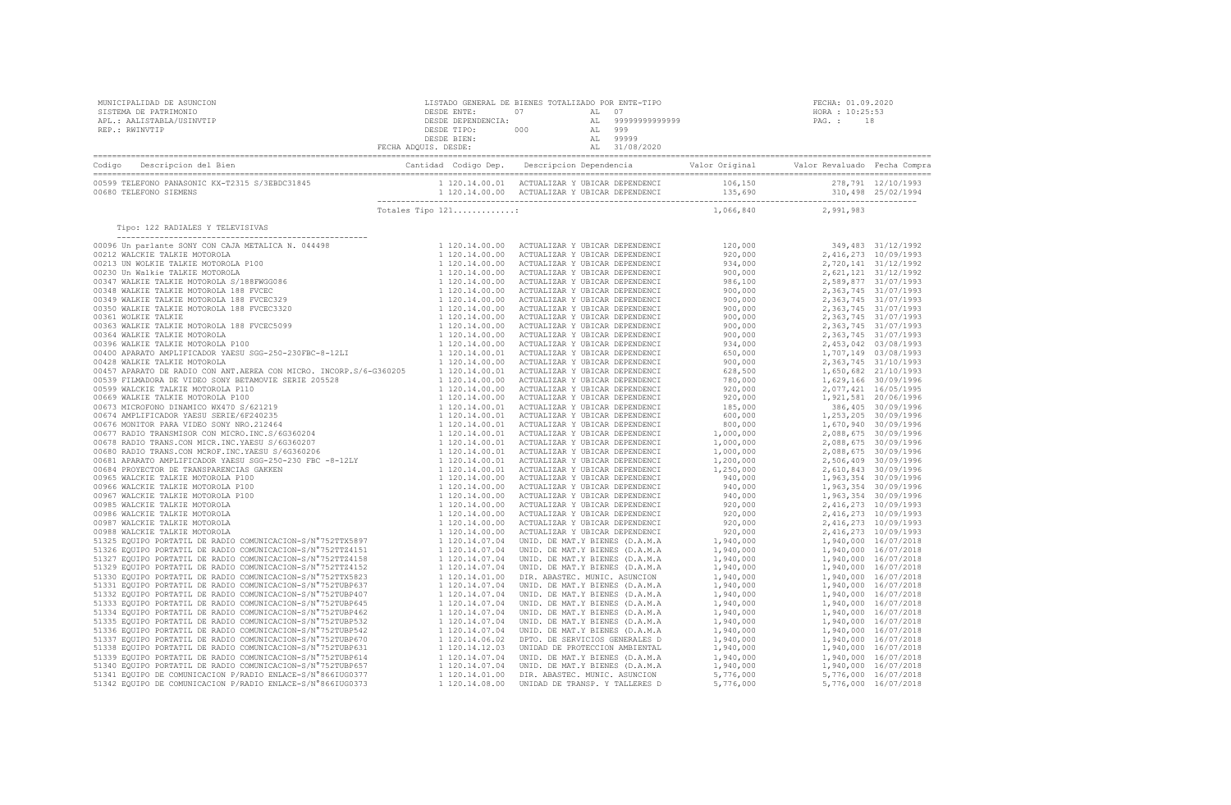| Tipo: 122 RADIALES Y TELEVISIVAS |  |  |  |
|----------------------------------|--|--|--|
|                                  |  |  |  |
|                                  |  |  |  |
|                                  |  |  |  |
|                                  |  |  |  |
|                                  |  |  |  |
|                                  |  |  |  |
|                                  |  |  |  |
|                                  |  |  |  |
|                                  |  |  |  |
|                                  |  |  |  |
|                                  |  |  |  |
|                                  |  |  |  |
|                                  |  |  |  |
|                                  |  |  |  |
|                                  |  |  |  |
|                                  |  |  |  |
|                                  |  |  |  |
|                                  |  |  |  |
|                                  |  |  |  |
|                                  |  |  |  |
|                                  |  |  |  |
|                                  |  |  |  |
|                                  |  |  |  |
|                                  |  |  |  |
|                                  |  |  |  |
|                                  |  |  |  |
|                                  |  |  |  |
|                                  |  |  |  |
|                                  |  |  |  |
|                                  |  |  |  |
|                                  |  |  |  |
|                                  |  |  |  |
|                                  |  |  |  |
|                                  |  |  |  |
|                                  |  |  |  |
|                                  |  |  |  |
|                                  |  |  |  |
|                                  |  |  |  |
|                                  |  |  |  |
|                                  |  |  |  |
|                                  |  |  |  |
|                                  |  |  |  |
|                                  |  |  |  |
|                                  |  |  |  |
|                                  |  |  |  |
|                                  |  |  |  |
|                                  |  |  |  |
|                                  |  |  |  |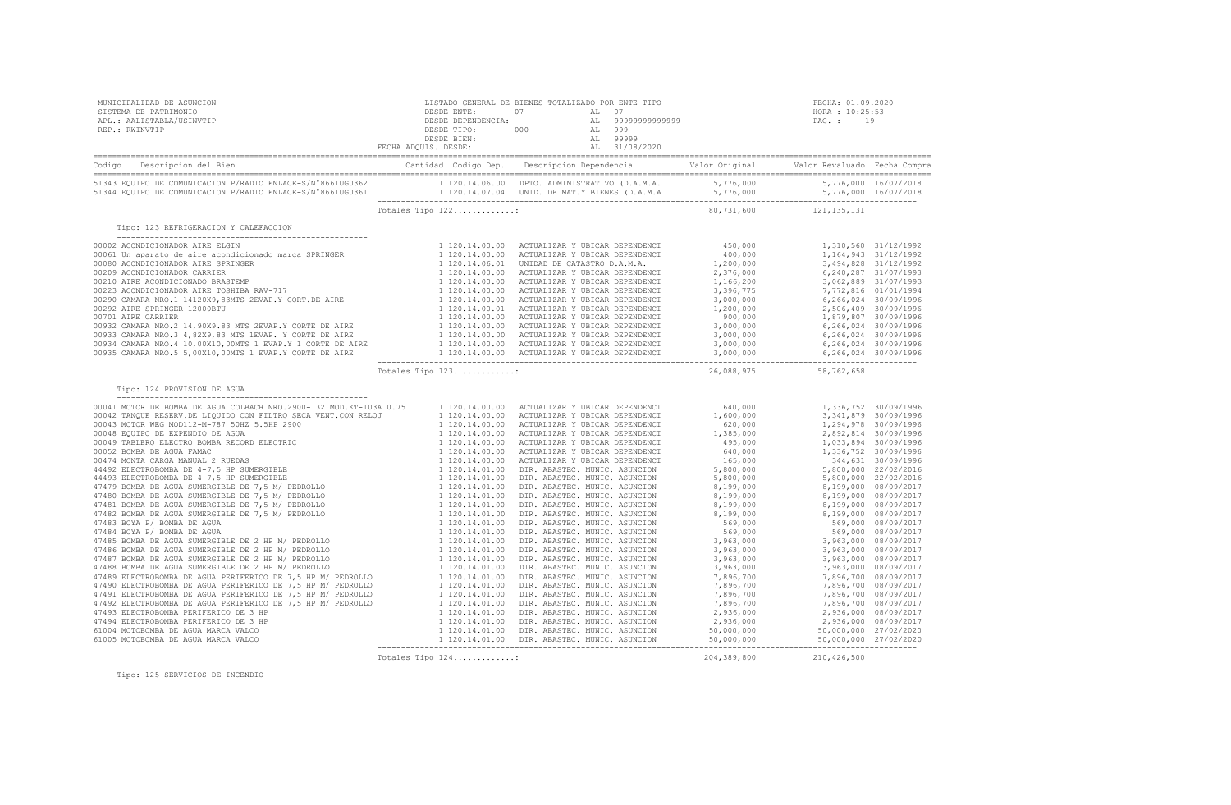| MUNICIPALIDAD DE ASUNCION<br>SISTEMA DE PATRIMONIO<br>APL.: AALISTABLA/USINVTIP<br>REP.: RWINVTIP                                                                                                                                        |                      | $\begin{tabular}{l c c c c c} \multicolumn{1}{c}{\textbf{LISTADO} GENERAL DE BIERES TOTALIZADO POR ENTE-TIFO} & \multicolumn{1}{c}{\textbf{FECHA: 01.09.2}} \\ \multicolumn{1}{c}{\textbf{DESDE ENTE:} & 07 & \multicolumn{1}{c}{\textbf{AL} & 07} & \multicolumn{1}{c}{\textbf{BCSDE} ENTE} \\ \multicolumn{1}{c}{\textbf{DESDE} ENTE} & 000 & \multicolumn{1}{c}{\textbf{AL} & 999} \\ \multicolumn{1}{c}{\textbf{DESDE} ENPENEDC:} &$ |             | FECHA: 01.09.2020<br>HORA : 10:25:53 |  |
|------------------------------------------------------------------------------------------------------------------------------------------------------------------------------------------------------------------------------------------|----------------------|------------------------------------------------------------------------------------------------------------------------------------------------------------------------------------------------------------------------------------------------------------------------------------------------------------------------------------------------------------------------------------------------------------------------------------------|-------------|--------------------------------------|--|
| Codigo Descripcion del Bien (Compra Cantidad Codigo Dep. Descripcion Dependencia Valor Original Valor Revaluado Fecha Compra Cantidad Codigo Dep. Descripcion Dependencia Valor Original Valor Revaluado Fecha Compra Cantidad<br>Codigo |                      |                                                                                                                                                                                                                                                                                                                                                                                                                                          |             |                                      |  |
| 51343 EQUIPO DE COMUNICACION P/RADIO ENLACE-S/N°866IUGO362 (1992). 120.14.06.00 DPTO. ADMINISTRATIVO (D.A.M.A. 5,776,000 5,776,000 5,776,000 16/07/2018<br>51344 EQUIPO DE COMUNICACION P/RADIO ENLACE-S/N°866IUGO361 (1992). 199        |                      |                                                                                                                                                                                                                                                                                                                                                                                                                                          |             |                                      |  |
|                                                                                                                                                                                                                                          | Totales Tipo 122:    |                                                                                                                                                                                                                                                                                                                                                                                                                                          |             | 80,731,600 121,135,131               |  |
| Tipo: 123 REFRIGERACION Y CALEFACCION                                                                                                                                                                                                    |                      |                                                                                                                                                                                                                                                                                                                                                                                                                                          |             |                                      |  |
|                                                                                                                                                                                                                                          |                      |                                                                                                                                                                                                                                                                                                                                                                                                                                          |             |                                      |  |
|                                                                                                                                                                                                                                          | Totales Tipo $123$ : |                                                                                                                                                                                                                                                                                                                                                                                                                                          |             | 26,088,975 58,762,658                |  |
| Tipo: 124 PROVISION DE AGUA                                                                                                                                                                                                              |                      |                                                                                                                                                                                                                                                                                                                                                                                                                                          |             |                                      |  |
| The Houston R.M. (1997) REMARK RESERVE AND MANUSING THE CONTINUES IN A 2000 1993 (1997) 2000 1993 (1997) 2000 1993 (1997) 2000 1993 (1997) 2000 1993 (1997) 2000 1993 (1997) 2000 1993 (1997) 2000 1993 (1997) 2000 1993 (199            |                      |                                                                                                                                                                                                                                                                                                                                                                                                                                          |             |                                      |  |
|                                                                                                                                                                                                                                          | Totales Tipo 124:    |                                                                                                                                                                                                                                                                                                                                                                                                                                          | 204,389,800 | 210, 426, 500                        |  |

 Tipo: 125 SERVICIOS DE INCENDIO -----------------------------------------------------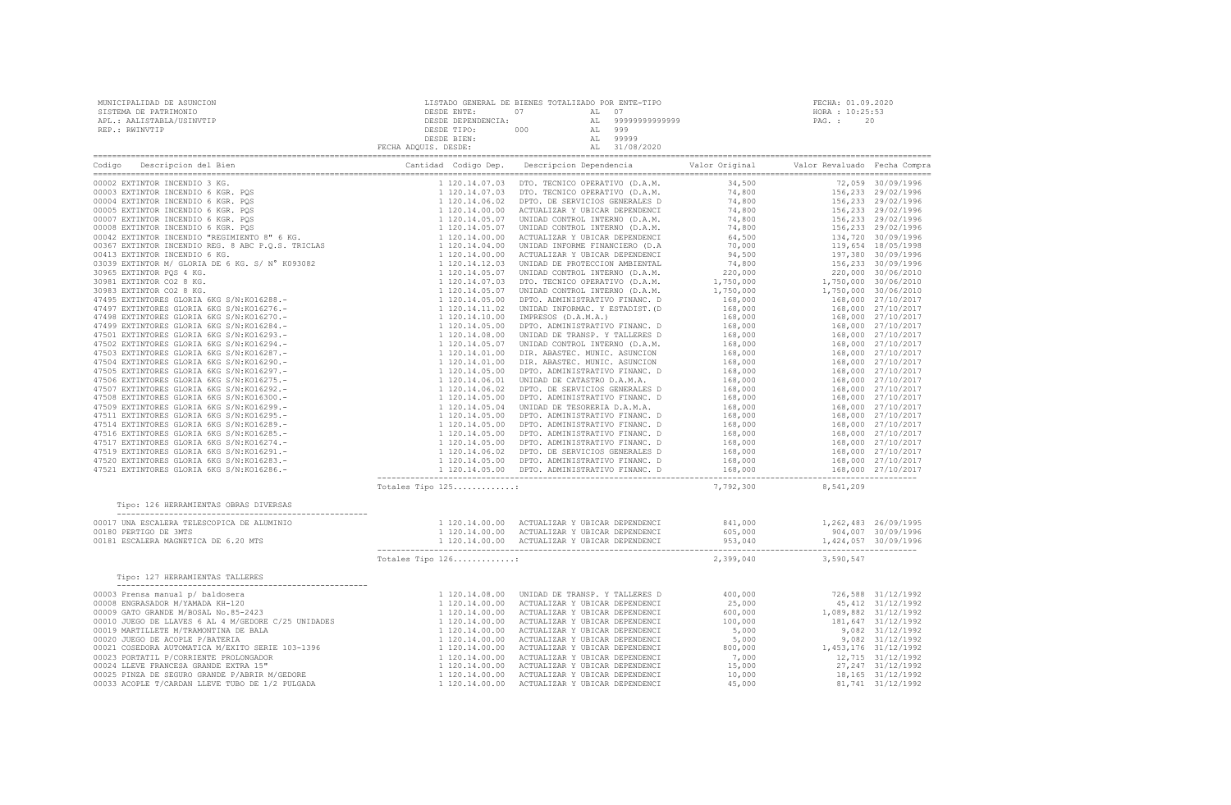| MUNICIPALIDAD DE ASUNCION<br>SISTEMA DE PATRIMONIO<br>APL.: AALISTABLA/USINVTIP<br>REP.: RWINVTIP                                                                                                                                                                    |                   |  | FECHA: 01.09.2020   |
|----------------------------------------------------------------------------------------------------------------------------------------------------------------------------------------------------------------------------------------------------------------------|-------------------|--|---------------------|
| Codigo Descripcion del Bien de Marco de Marco Cantidad Codigo Dep. Descripcion Dependencia de Valor Original Valor Revaluado Fecha Compra                                                                                                                            |                   |  |                     |
|                                                                                                                                                                                                                                                                      |                   |  |                     |
|                                                                                                                                                                                                                                                                      |                   |  |                     |
|                                                                                                                                                                                                                                                                      |                   |  |                     |
|                                                                                                                                                                                                                                                                      |                   |  |                     |
|                                                                                                                                                                                                                                                                      |                   |  |                     |
|                                                                                                                                                                                                                                                                      |                   |  |                     |
|                                                                                                                                                                                                                                                                      |                   |  |                     |
|                                                                                                                                                                                                                                                                      |                   |  |                     |
|                                                                                                                                                                                                                                                                      |                   |  |                     |
|                                                                                                                                                                                                                                                                      |                   |  |                     |
|                                                                                                                                                                                                                                                                      |                   |  |                     |
|                                                                                                                                                                                                                                                                      |                   |  |                     |
|                                                                                                                                                                                                                                                                      |                   |  |                     |
|                                                                                                                                                                                                                                                                      |                   |  |                     |
|                                                                                                                                                                                                                                                                      |                   |  |                     |
|                                                                                                                                                                                                                                                                      |                   |  |                     |
|                                                                                                                                                                                                                                                                      |                   |  |                     |
|                                                                                                                                                                                                                                                                      |                   |  |                     |
|                                                                                                                                                                                                                                                                      |                   |  |                     |
|                                                                                                                                                                                                                                                                      |                   |  |                     |
|                                                                                                                                                                                                                                                                      |                   |  |                     |
|                                                                                                                                                                                                                                                                      |                   |  |                     |
|                                                                                                                                                                                                                                                                      |                   |  |                     |
|                                                                                                                                                                                                                                                                      |                   |  |                     |
|                                                                                                                                                                                                                                                                      |                   |  |                     |
|                                                                                                                                                                                                                                                                      |                   |  |                     |
|                                                                                                                                                                                                                                                                      |                   |  |                     |
|                                                                                                                                                                                                                                                                      |                   |  |                     |
|                                                                                                                                                                                                                                                                      |                   |  |                     |
|                                                                                                                                                                                                                                                                      |                   |  |                     |
|                                                                                                                                                                                                                                                                      | Totales Tipo 125: |  | 7,792,300 8,541,209 |
| Tipo: 126 HERRAMIENTAS OBRAS DIVERSAS                                                                                                                                                                                                                                |                   |  |                     |
|                                                                                                                                                                                                                                                                      |                   |  |                     |
|                                                                                                                                                                                                                                                                      |                   |  |                     |
|                                                                                                                                                                                                                                                                      |                   |  |                     |
|                                                                                                                                                                                                                                                                      | Totales Tipo 126: |  | 2,399,040 3,590,547 |
| Tipo: 127 HERRAMIENTAS TALLERES                                                                                                                                                                                                                                      |                   |  |                     |
| $\begin{array}{cccccccc} 1120.14.08\,.\,00 & 1120.14.08\,.\,00 & 1120.14.00\,.\,00 & 1120.14.00\,.\,00 & 1120.14.00\,.\,00 & 1120.14.00\,.\,00 & 1120.14.00\,.\,00 & 1120.14.00\,.\,00 & 1120.14.00\,.\,00 & 1120.14.00\,.\,00 & 1120.14.00\,.\,00 & 1120.14.00\,.\$ |                   |  |                     |
|                                                                                                                                                                                                                                                                      |                   |  |                     |
|                                                                                                                                                                                                                                                                      |                   |  |                     |
|                                                                                                                                                                                                                                                                      |                   |  |                     |
|                                                                                                                                                                                                                                                                      |                   |  |                     |
|                                                                                                                                                                                                                                                                      |                   |  |                     |
|                                                                                                                                                                                                                                                                      |                   |  |                     |
|                                                                                                                                                                                                                                                                      |                   |  |                     |
|                                                                                                                                                                                                                                                                      |                   |  |                     |
| 00033 ACOPLE T/CARDAN LLEVE TUBO DE 1/2 PULGADA                                                                                                                                                                                                                      |                   |  |                     |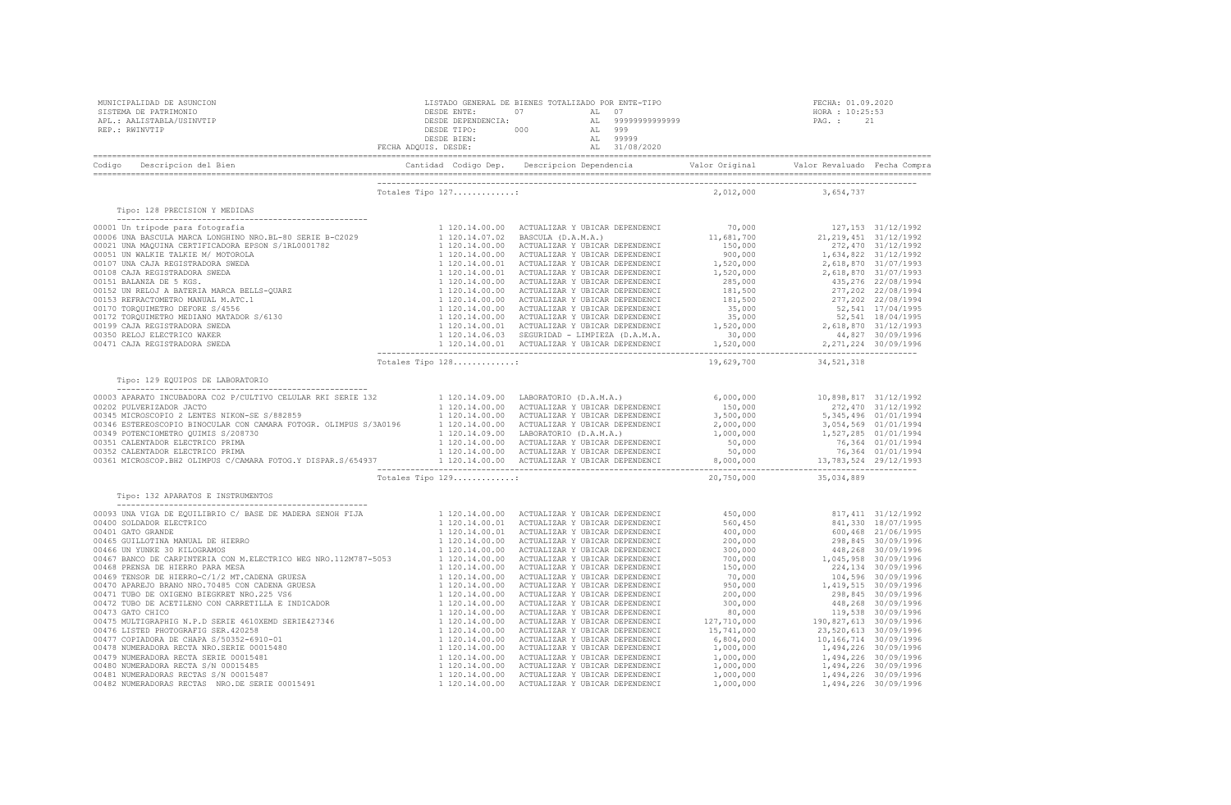|                                                                                                                                                                                                                                                                                      | Totales Tipo 127:       | 2,012,000  | 3,654,737  |  |
|--------------------------------------------------------------------------------------------------------------------------------------------------------------------------------------------------------------------------------------------------------------------------------------|-------------------------|------------|------------|--|
| Tipo: 128 PRECISION Y MEDIDAS                                                                                                                                                                                                                                                        |                         |            |            |  |
|                                                                                                                                                                                                                                                                                      |                         |            |            |  |
|                                                                                                                                                                                                                                                                                      | --<br>Totales Tipo 128: |            |            |  |
| Tipo: 129 EQUIPOS DE LABORATORIO                                                                                                                                                                                                                                                     |                         |            |            |  |
| $\begin{tabular}{cccccccc} \texttt{0.003} APRARTO INCEABOR-2022 & PULVERR-203000 & 0.00000 & 0.000000 & 0.000000 & 0.000000 & 0.000000 & 0.000000 & 0.000000 & 0.000000 & 0.000000 & 0.000000 & 0.000000 & 0.000000 & 0.00000 & 0.00000 & 0.00000 & 0.00000 & 0.00000 & 0.00000 & 0$ |                         |            |            |  |
|                                                                                                                                                                                                                                                                                      | Totales Tipo 129:       | 20,750,000 | 35,034,889 |  |
| Tipo: 132 APARATOS E INSTRUMENTOS                                                                                                                                                                                                                                                    |                         |            |            |  |
|                                                                                                                                                                                                                                                                                      |                         |            |            |  |
|                                                                                                                                                                                                                                                                                      |                         |            |            |  |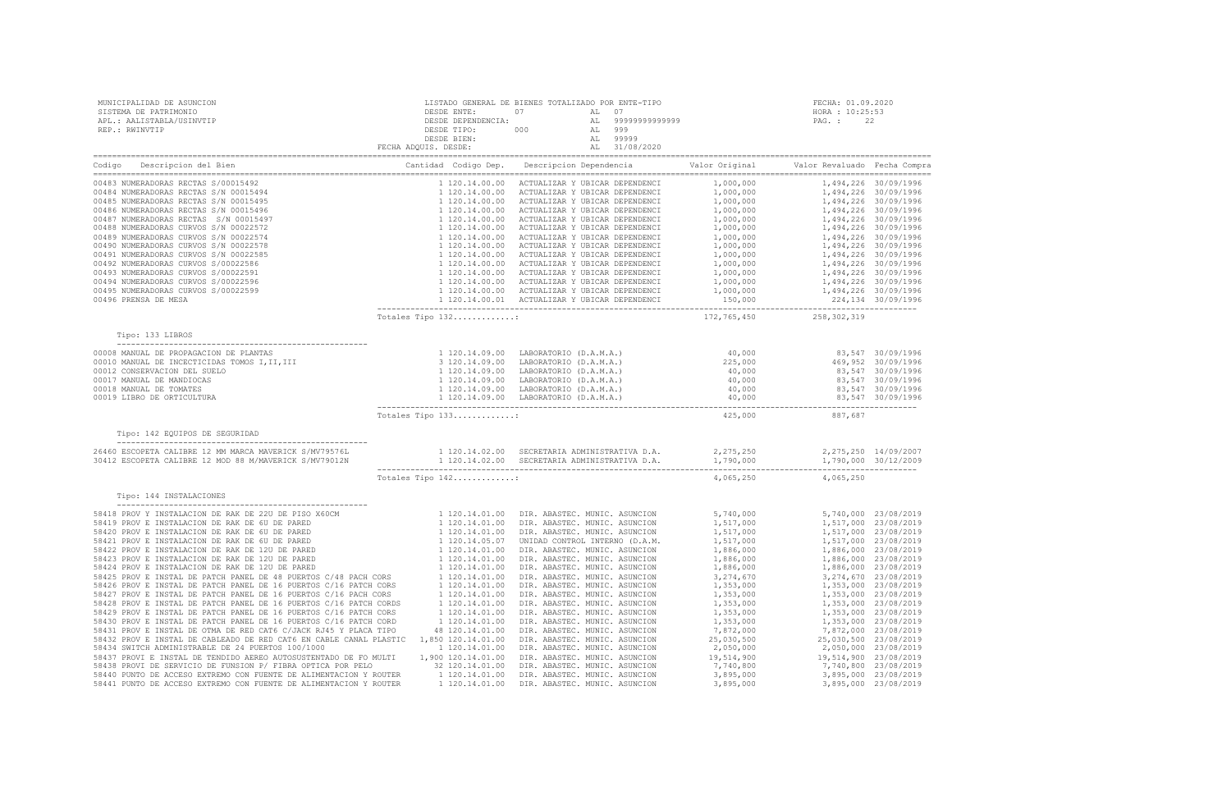|  |                   | FECHA: 01.09.2020 |                                                                                                                                                                                                                                                                                                                                                                                                                                                                                                                                                                                                                                                                                                                                                                                                                                                                                                                                                                                                                                                                                                                                                                                              |
|--|-------------------|-------------------|----------------------------------------------------------------------------------------------------------------------------------------------------------------------------------------------------------------------------------------------------------------------------------------------------------------------------------------------------------------------------------------------------------------------------------------------------------------------------------------------------------------------------------------------------------------------------------------------------------------------------------------------------------------------------------------------------------------------------------------------------------------------------------------------------------------------------------------------------------------------------------------------------------------------------------------------------------------------------------------------------------------------------------------------------------------------------------------------------------------------------------------------------------------------------------------------|
|  |                   |                   |                                                                                                                                                                                                                                                                                                                                                                                                                                                                                                                                                                                                                                                                                                                                                                                                                                                                                                                                                                                                                                                                                                                                                                                              |
|  |                   |                   |                                                                                                                                                                                                                                                                                                                                                                                                                                                                                                                                                                                                                                                                                                                                                                                                                                                                                                                                                                                                                                                                                                                                                                                              |
|  |                   |                   |                                                                                                                                                                                                                                                                                                                                                                                                                                                                                                                                                                                                                                                                                                                                                                                                                                                                                                                                                                                                                                                                                                                                                                                              |
|  |                   |                   |                                                                                                                                                                                                                                                                                                                                                                                                                                                                                                                                                                                                                                                                                                                                                                                                                                                                                                                                                                                                                                                                                                                                                                                              |
|  |                   |                   |                                                                                                                                                                                                                                                                                                                                                                                                                                                                                                                                                                                                                                                                                                                                                                                                                                                                                                                                                                                                                                                                                                                                                                                              |
|  |                   |                   |                                                                                                                                                                                                                                                                                                                                                                                                                                                                                                                                                                                                                                                                                                                                                                                                                                                                                                                                                                                                                                                                                                                                                                                              |
|  |                   |                   |                                                                                                                                                                                                                                                                                                                                                                                                                                                                                                                                                                                                                                                                                                                                                                                                                                                                                                                                                                                                                                                                                                                                                                                              |
|  |                   |                   |                                                                                                                                                                                                                                                                                                                                                                                                                                                                                                                                                                                                                                                                                                                                                                                                                                                                                                                                                                                                                                                                                                                                                                                              |
|  |                   |                   |                                                                                                                                                                                                                                                                                                                                                                                                                                                                                                                                                                                                                                                                                                                                                                                                                                                                                                                                                                                                                                                                                                                                                                                              |
|  | Totales Tipo 142: | Totales Tipo 133: | $\begin{tabular}{cccccc} \multicolumn{4}{c}{\textbf{LISTADO} GENERAL DE BIERES TOTALIZADO POR ENTE-TIFO} & FECHA: 01.09.202 \\ DESDE ENTE: & 07 & AL & 07 & HORA : 10:25:53 \\ DESDE DESDE DIENDENCIA: & AL & 999 \\ DESDE TIPC: & 000 & AL & 999 \\ DESDE TIPC: & 000 & AL & 999 \\ DEEDE BIEN: & AL & 31/08/2020 & AL & 999 \\ & DEECA A DQUIS. DESDE BIEN: & AL & 31/08/2020 & AL & 9999 \\ & DECHA$<br>.<br>Codigo Descripcion del Bien                     Cantidad Codigo Dep. Descripcion Dependencia     Valor Original<br>425,000 887,687<br>26460 ESCOPETA CALIBRE 12 MM MARCA MAVERICK S/MV79576L 1 20.14.02.00 SECRETARIA ADMINISTRATIVA D.A. 2,275,250 2,275,250 2,275,250 2,275,250 2,275,250 2,275,250 2,275,250 2,275,250 14/09/2007 1 120.14.02.00 SECRETARIA ADMIN<br>4,065,250 4,065,250<br>$\begin{tabular}{cccccccc} \textbf{F141} & \textbf{F162} & \textbf{H143} & \textbf{F263} & \textbf{F264} & \textbf{F265} & \textbf{F265} & \textbf{F265} & \textbf{F265} & \textbf{F265} & \textbf{F265} & \textbf{F265} & \textbf{F265} & \textbf{F265} & \textbf{F265} & \textbf{F265} & \textbf{F265} & \textbf{F265} & \textbf{F265} & \textbf{F265} & \textbf{F265} & \$ |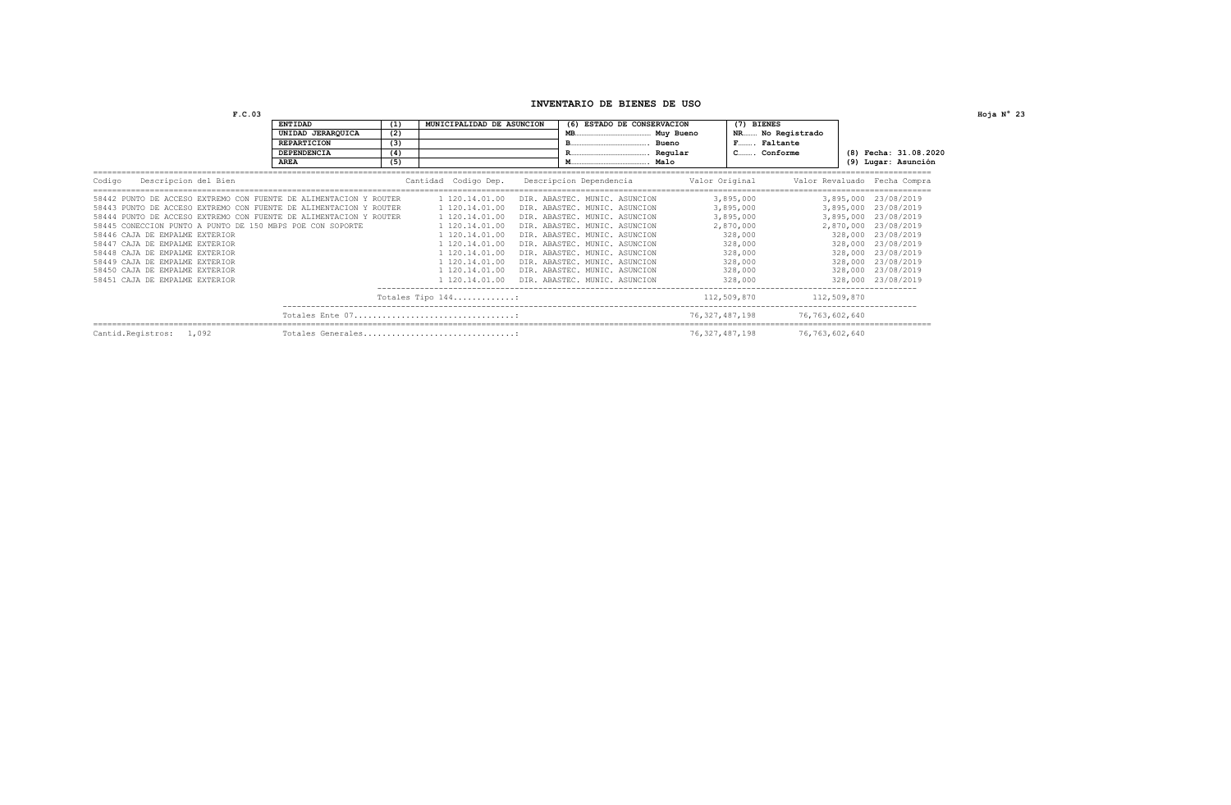## **INVENTARIO DE BIENES DE USO**

| F.C.03                                                            |                    |                                  |                               |                               | Hoja N° 23                   |
|-------------------------------------------------------------------|--------------------|----------------------------------|-------------------------------|-------------------------------|------------------------------|
|                                                                   | <b>ENTIDAD</b>     | MUNICIPALIDAD DE ASUNCION<br>(1) | (6) ESTADO DE CONSERVACION    | (7) BIENES                    |                              |
|                                                                   | UNIDAD JERARQUICA  | (2)                              | <b>MB</b>                     | NR No Registrado<br>Muy Bueno |                              |
|                                                                   | <b>REPARTICION</b> | (3)                              | Bueno                         | Faltante<br>$\mathbf{F}$      |                              |
|                                                                   | DEPENDENCIA        | (4)                              | Regular                       | Conforme<br>$C_{\dots}$ .     | (8) Fecha: 31.08.2020        |
|                                                                   | <b>AREA</b>        | (5)                              | Malo                          |                               | (9) Lugar: Asunción          |
| Descripcion del Bien<br>Codigo                                    |                    | Cantidad Codigo Dep.             | Descripcion Dependencia       | Valor Original                | Valor Revaluado Fecha Compra |
| 58442 PUNTO DE ACCESO EXTREMO CON FUENTE DE ALIMENTACION Y ROUTER |                    | 1 120.14.01.00                   | DIR. ABASTEC. MUNIC. ASUNCION | 3,895,000                     | 3,895,000 23/08/2019         |
| 58443 PUNTO DE ACCESO EXTREMO CON FUENTE DE ALIMENTACION Y ROUTER |                    | 1 120.14.01.00                   | DIR. ABASTEC. MUNIC. ASUNCION | 3,895,000                     | 3,895,000 23/08/2019         |
| 58444 PUNTO DE ACCESO EXTREMO CON FUENTE DE ALIMENTACION Y ROUTER |                    | 1 120.14.01.00                   | DIR. ABASTEC. MUNIC. ASUNCION | 3,895,000                     | 3,895,000 23/08/2019         |
| 58445 CONECCION PUNTO A PUNTO DE 150 MBPS POE CON SOPORTE         |                    | 1 120.14.01.00                   | DIR. ABASTEC. MUNIC. ASUNCION | 2,870,000                     | 2,870,000 23/08/2019         |
| 58446 CAJA DE EMPALME EXTERIOR                                    |                    | 1 120.14.01.00                   | DIR. ABASTEC. MUNIC. ASUNCION | 328,000                       | 328,000 23/08/2019           |
| 58447 CAJA DE EMPALME EXTERIOR                                    |                    | 1 120.14.01.00                   | DIR. ABASTEC. MUNIC. ASUNCION | 328,000                       | 328,000 23/08/2019           |
| 58448 CAJA DE EMPALME EXTERIOR                                    |                    | 1 120.14.01.00                   | DIR. ABASTEC. MUNIC. ASUNCION | 328,000                       | 328,000 23/08/2019           |
| 58449 CAJA DE EMPALME EXTERIOR                                    |                    | 1 120.14.01.00                   | DIR. ABASTEC. MUNIC. ASUNCION | 328,000                       | 328,000 23/08/2019           |
| 58450 CAJA DE EMPALME EXTERIOR                                    |                    | 1 120.14.01.00                   | DIR. ABASTEC. MUNIC. ASUNCION | 328,000                       | 23/08/2019<br>328,000        |
| 58451 CAJA DE EMPALME EXTERIOR                                    |                    | 1 120.14.01.00                   | DIR. ABASTEC. MUNIC. ASUNCION | 328,000                       | 328,000 23/08/2019           |
|                                                                   |                    | Totales Tipo 144:                |                               | 112,509,870                   | 112,509,870                  |
|                                                                   | Totales Ente 07    |                                  |                               | 76, 327, 487, 198             | 76,763,602,640               |
| Cantid.Registros:<br>1,092                                        |                    | Totales Generales                |                               | 76, 327, 487, 198             | 76,763,602,640               |